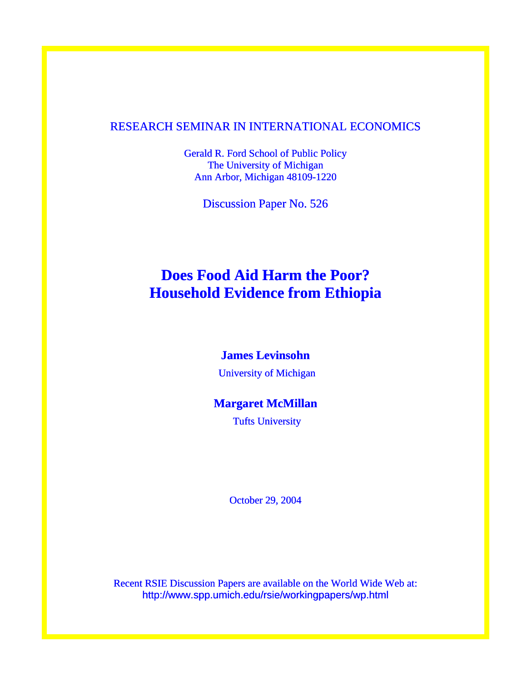# RESEARCH SEMINAR IN INTERNATIONAL ECONOMICS

Gerald R. Ford School of Public Policy The University of Michigan Ann Arbor, Michigan 48109-1220

Discussion Paper No. 526

# **Does Food Aid Harm the Poor? Household Evidence from Ethiopia**

# **James Levinsohn**

University of Michigan

# **Margaret McMillan**

Tufts University

October 29, 2004

Recent RSIE Discussion Papers are available on the World Wide Web at: http://www.spp.umich.edu/rsie/workingpapers/wp.html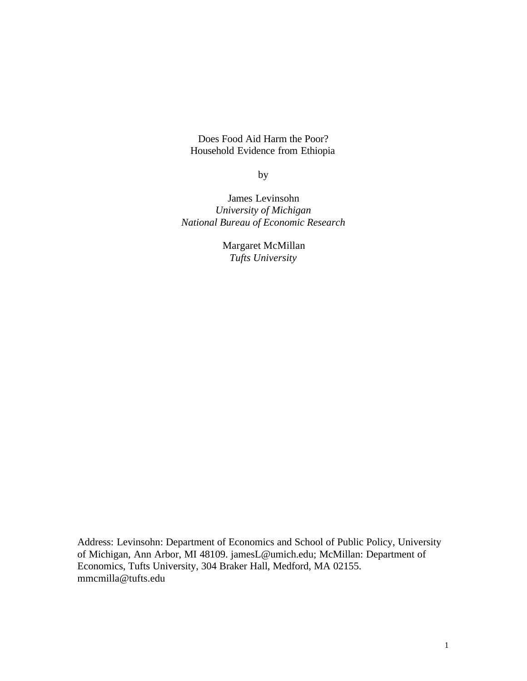Does Food Aid Harm the Poor? Household Evidence from Ethiopia

by

James Levinsohn *University of Michigan National Bureau of Economic Research*

> Margaret McMillan *Tufts University*

Address: Levinsohn: Department of Economics and School of Public Policy, University of Michigan, Ann Arbor, MI 48109. jamesL@umich.edu; McMillan: Department of Economics, Tufts University, 304 Braker Hall, Medford, MA 02155. mmcmilla@tufts.edu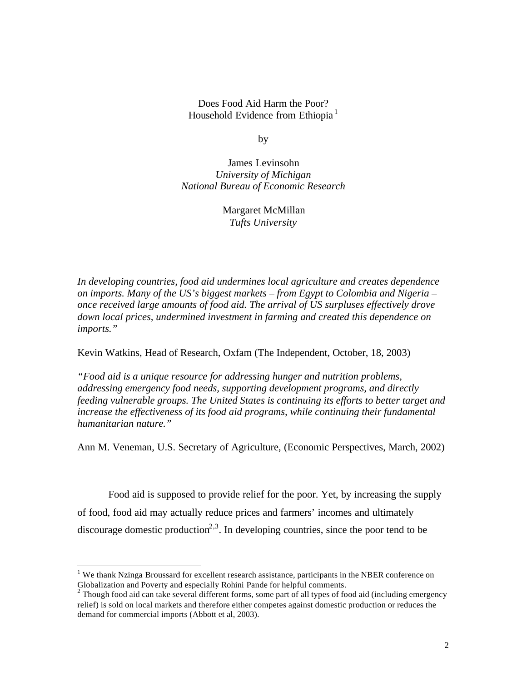Does Food Aid Harm the Poor? Household Evidence from Ethiopia<sup>1</sup>

by

James Levinsohn *University of Michigan National Bureau of Economic Research*

> Margaret McMillan *Tufts University*

*In developing countries, food aid undermines local agriculture and creates dependence on imports. Many of the US's biggest markets – from Egypt to Colombia and Nigeria – once received large amounts of food aid. The arrival of US surpluses effectively drove down local prices, undermined investment in farming and created this dependence on imports."*

Kevin Watkins, Head of Research, Oxfam (The Independent, October, 18, 2003)

*"Food aid is a unique resource for addressing hunger and nutrition problems, addressing emergency food needs, supporting development programs, and directly feeding vulnerable groups. The United States is continuing its efforts to better target and increase the effectiveness of its food aid programs, while continuing their fundamental humanitarian nature."*

Ann M. Veneman, U.S. Secretary of Agriculture, (Economic Perspectives, March, 2002)

Food aid is supposed to provide relief for the poor. Yet, by increasing the supply of food, food aid may actually reduce prices and farmers' incomes and ultimately discourage domestic production<sup>2,3</sup>. In developing countries, since the poor tend to be

<sup>&</sup>lt;sup>1</sup> We thank Nzinga Broussard for excellent research assistance, participants in the NBER conference on Globalization and Poverty and especially Rohini Pande for helpful comments.

 $2$  Though food aid can take several different forms, some part of all types of food aid (including emergency relief) is sold on local markets and therefore either competes against domestic production or reduces the demand for commercial imports (Abbott et al, 2003).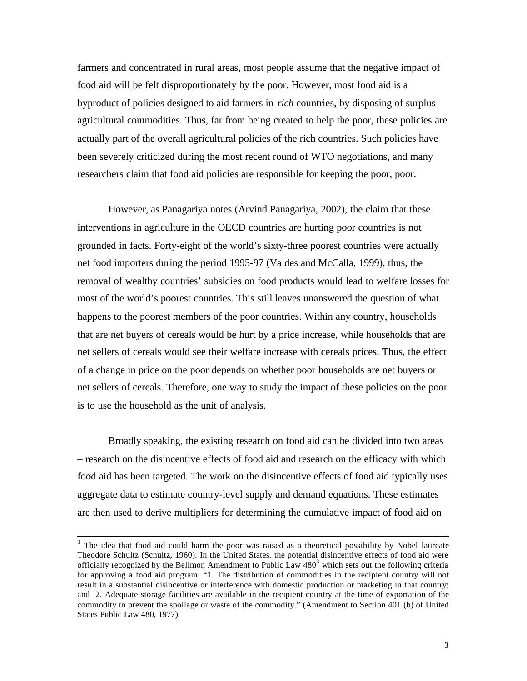farmers and concentrated in rural areas, most people assume that the negative impact of food aid will be felt disproportionately by the poor. However, most food aid is a byproduct of policies designed to aid farmers in *rich* countries, by disposing of surplus agricultural commodities. Thus, far from being created to help the poor, these policies are actually part of the overall agricultural policies of the rich countries. Such policies have been severely criticized during the most recent round of WTO negotiations, and many researchers claim that food aid policies are responsible for keeping the poor, poor.

However, as Panagariya notes (Arvind Panagariya, 2002), the claim that these interventions in agriculture in the OECD countries are hurting poor countries is not grounded in facts. Forty-eight of the world's sixty-three poorest countries were actually net food importers during the period 1995-97 (Valdes and McCalla, 1999), thus, the removal of wealthy countries' subsidies on food products would lead to welfare losses for most of the world's poorest countries. This still leaves unanswered the question of what happens to the poorest members of the poor countries. Within any country, households that are net buyers of cereals would be hurt by a price increase, while households that are net sellers of cereals would see their welfare increase with cereals prices. Thus, the effect of a change in price on the poor depends on whether poor households are net buyers or net sellers of cereals. Therefore, one way to study the impact of these policies on the poor is to use the household as the unit of analysis.

Broadly speaking, the existing research on food aid can be divided into two areas – research on the disincentive effects of food aid and research on the efficacy with which food aid has been targeted. The work on the disincentive effects of food aid typically uses aggregate data to estimate country-level supply and demand equations. These estimates are then used to derive multipliers for determining the cumulative impact of food aid on

<sup>&</sup>lt;sup>3</sup> The idea that food aid could harm the poor was raised as a theoretical possibility by Nobel laureate Theodore Schultz (Schultz, 1960). In the United States, the potential disincentive effects of food aid were officially recognized by the Bellmon Amendment to Public Law  $480<sup>3</sup>$  which sets out the following criteria for approving a food aid program: "1. The distribution of commodities in the recipient country will not result in a substantial disincentive or interference with domestic production or marketing in that country; and 2. Adequate storage facilities are available in the recipient country at the time of exportation of the commodity to prevent the spoilage or waste of the commodity." (Amendment to Section 401 (b) of United States Public Law 480, 1977)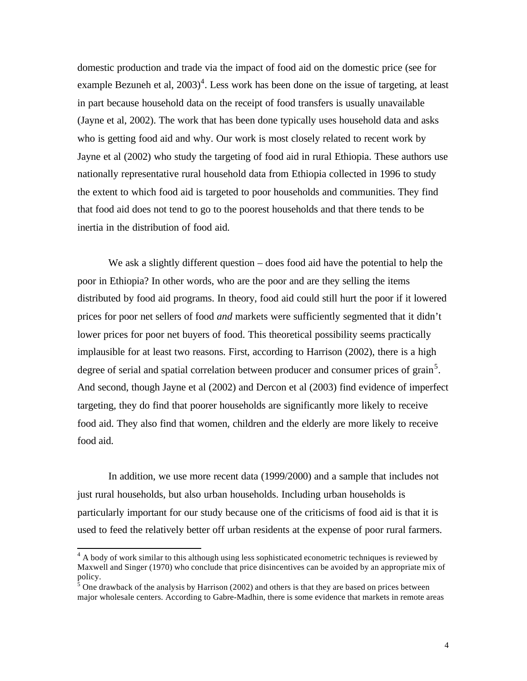domestic production and trade via the impact of food aid on the domestic price (see for example Bezuneh et al,  $2003)^4$ . Less work has been done on the issue of targeting, at least in part because household data on the receipt of food transfers is usually unavailable (Jayne et al, 2002). The work that has been done typically uses household data and asks who is getting food aid and why. Our work is most closely related to recent work by Jayne et al (2002) who study the targeting of food aid in rural Ethiopia. These authors use nationally representative rural household data from Ethiopia collected in 1996 to study the extent to which food aid is targeted to poor households and communities. They find that food aid does not tend to go to the poorest households and that there tends to be inertia in the distribution of food aid.

We ask a slightly different question – does food aid have the potential to help the poor in Ethiopia? In other words, who are the poor and are they selling the items distributed by food aid programs. In theory, food aid could still hurt the poor if it lowered prices for poor net sellers of food *and* markets were sufficiently segmented that it didn't lower prices for poor net buyers of food. This theoretical possibility seems practically implausible for at least two reasons. First, according to Harrison (2002), there is a high degree of serial and spatial correlation between producer and consumer prices of grain<sup>5</sup>. And second, though Jayne et al (2002) and Dercon et al (2003) find evidence of imperfect targeting, they do find that poorer households are significantly more likely to receive food aid. They also find that women, children and the elderly are more likely to receive food aid.

In addition, we use more recent data (1999/2000) and a sample that includes not just rural households, but also urban households. Including urban households is particularly important for our study because one of the criticisms of food aid is that it is used to feed the relatively better off urban residents at the expense of poor rural farmers.

 $4$  A body of work similar to this although using less sophisticated econometric techniques is reviewed by Maxwell and Singer (1970) who conclude that price disincentives can be avoided by an appropriate mix of policy.<br><sup>5</sup> One drawback of the analysis by Harrison (2002) and others is that they are based on prices between

major wholesale centers. According to Gabre-Madhin, there is some evidence that markets in remote areas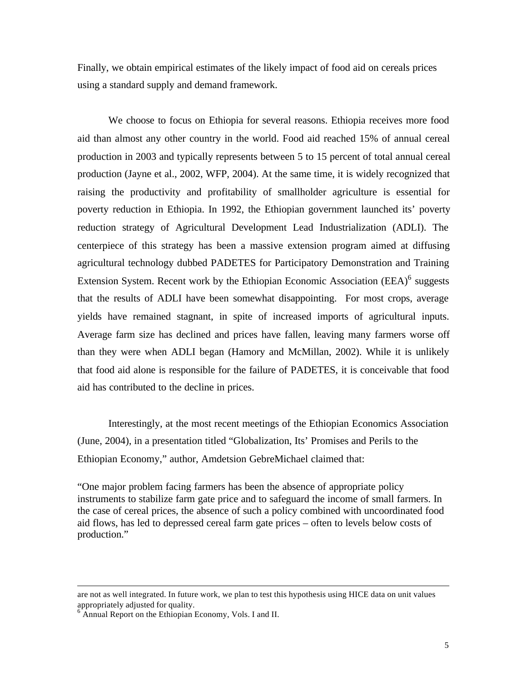Finally, we obtain empirical estimates of the likely impact of food aid on cereals prices using a standard supply and demand framework.

We choose to focus on Ethiopia for several reasons. Ethiopia receives more food aid than almost any other country in the world. Food aid reached 15% of annual cereal production in 2003 and typically represents between 5 to 15 percent of total annual cereal production (Jayne et al., 2002, WFP, 2004). At the same time, it is widely recognized that raising the productivity and profitability of smallholder agriculture is essential for poverty reduction in Ethiopia. In 1992, the Ethiopian government launched its' poverty reduction strategy of Agricultural Development Lead Industrialization (ADLI). The centerpiece of this strategy has been a massive extension program aimed at diffusing agricultural technology dubbed PADETES for Participatory Demonstration and Training Extension System. Recent work by the Ethiopian Economic Association (EEA)<sup>6</sup> suggests that the results of ADLI have been somewhat disappointing. For most crops, average yields have remained stagnant, in spite of increased imports of agricultural inputs. Average farm size has declined and prices have fallen, leaving many farmers worse off than they were when ADLI began (Hamory and McMillan, 2002). While it is unlikely that food aid alone is responsible for the failure of PADETES, it is conceivable that food aid has contributed to the decline in prices.

Interestingly, at the most recent meetings of the Ethiopian Economics Association (June, 2004), in a presentation titled "Globalization, Its' Promises and Perils to the Ethiopian Economy," author, Amdetsion GebreMichael claimed that:

"One major problem facing farmers has been the absence of appropriate policy instruments to stabilize farm gate price and to safeguard the income of small farmers. In the case of cereal prices, the absence of such a policy combined with uncoordinated food aid flows, has led to depressed cereal farm gate prices – often to levels below costs of production."

are not as well integrated. In future work, we plan to test this hypothesis using HICE data on unit values appropriately adjusted for quality.

 $6$  Annual Report on the Ethiopian Economy, Vols. I and II.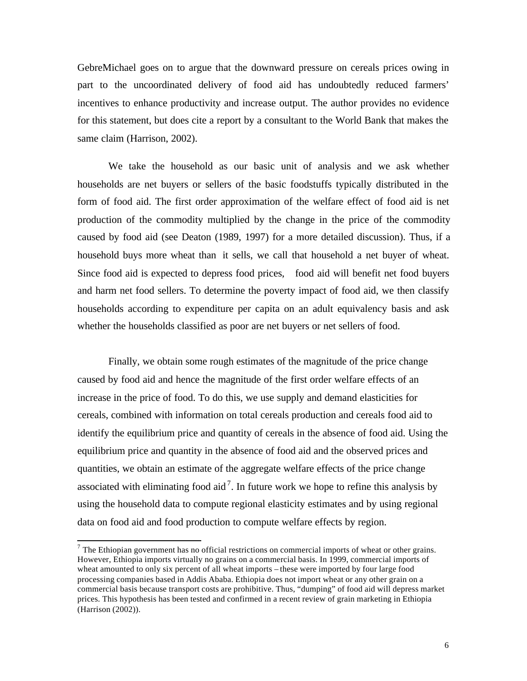GebreMichael goes on to argue that the downward pressure on cereals prices owing in part to the uncoordinated delivery of food aid has undoubtedly reduced farmers' incentives to enhance productivity and increase output. The author provides no evidence for this statement, but does cite a report by a consultant to the World Bank that makes the same claim (Harrison, 2002).

We take the household as our basic unit of analysis and we ask whether households are net buyers or sellers of the basic foodstuffs typically distributed in the form of food aid. The first order approximation of the welfare effect of food aid is net production of the commodity multiplied by the change in the price of the commodity caused by food aid (see Deaton (1989, 1997) for a more detailed discussion). Thus, if a household buys more wheat than it sells, we call that household a net buyer of wheat. Since food aid is expected to depress food prices, food aid will benefit net food buyers and harm net food sellers. To determine the poverty impact of food aid, we then classify households according to expenditure per capita on an adult equivalency basis and ask whether the households classified as poor are net buyers or net sellers of food.

Finally, we obtain some rough estimates of the magnitude of the price change caused by food aid and hence the magnitude of the first order welfare effects of an increase in the price of food. To do this, we use supply and demand elasticities for cereals, combined with information on total cereals production and cereals food aid to identify the equilibrium price and quantity of cereals in the absence of food aid. Using the equilibrium price and quantity in the absence of food aid and the observed prices and quantities, we obtain an estimate of the aggregate welfare effects of the price change associated with eliminating food aid<sup>7</sup>. In future work we hope to refine this analysis by using the household data to compute regional elasticity estimates and by using regional data on food aid and food production to compute welfare effects by region.

 $<sup>7</sup>$  The Ethiopian government has no official restrictions on commercial imports of wheat or other grains.</sup> However, Ethiopia imports virtually no grains on a commercial basis. In 1999, commercial imports of wheat amounted to only six percent of all wheat imports – these were imported by four large food processing companies based in Addis Ababa. Ethiopia does not import wheat or any other grain on a commercial basis because transport costs are prohibitive. Thus, "dumping" of food aid will depress market prices. This hypothesis has been tested and confirmed in a recent review of grain marketing in Ethiopia (Harrison (2002)).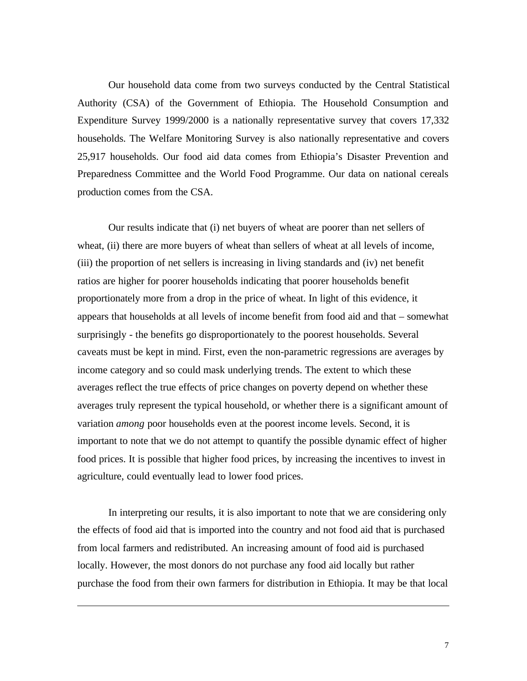Our household data come from two surveys conducted by the Central Statistical Authority (CSA) of the Government of Ethiopia. The Household Consumption and Expenditure Survey 1999/2000 is a nationally representative survey that covers 17,332 households. The Welfare Monitoring Survey is also nationally representative and covers 25,917 households. Our food aid data comes from Ethiopia's Disaster Prevention and Preparedness Committee and the World Food Programme. Our data on national cereals production comes from the CSA.

Our results indicate that (i) net buyers of wheat are poorer than net sellers of wheat, (ii) there are more buyers of wheat than sellers of wheat at all levels of income, (iii) the proportion of net sellers is increasing in living standards and (iv) net benefit ratios are higher for poorer households indicating that poorer households benefit proportionately more from a drop in the price of wheat. In light of this evidence, it appears that households at all levels of income benefit from food aid and that – somewhat surprisingly - the benefits go disproportionately to the poorest households. Several caveats must be kept in mind. First, even the non-parametric regressions are averages by income category and so could mask underlying trends. The extent to which these averages reflect the true effects of price changes on poverty depend on whether these averages truly represent the typical household, or whether there is a significant amount of variation *among* poor households even at the poorest income levels. Second, it is important to note that we do not attempt to quantify the possible dynamic effect of higher food prices. It is possible that higher food prices, by increasing the incentives to invest in agriculture, could eventually lead to lower food prices.

In interpreting our results, it is also important to note that we are considering only the effects of food aid that is imported into the country and not food aid that is purchased from local farmers and redistributed. An increasing amount of food aid is purchased locally. However, the most donors do not purchase any food aid locally but rather purchase the food from their own farmers for distribution in Ethiopia. It may be that local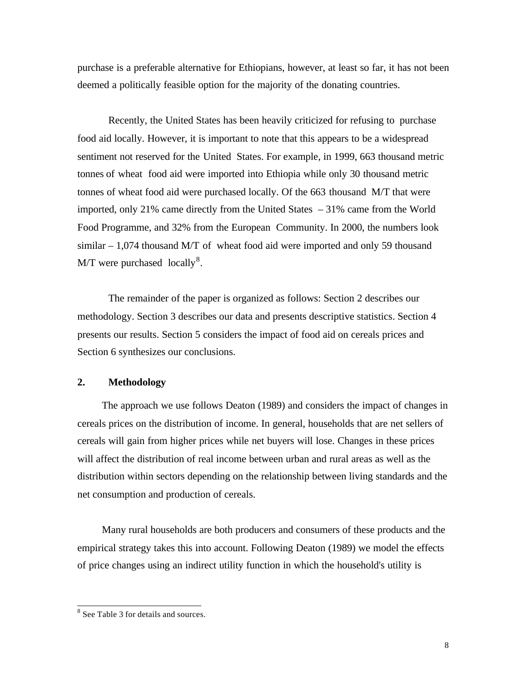purchase is a preferable alternative for Ethiopians, however, at least so far, it has not been deemed a politically feasible option for the majority of the donating countries.

Recently, the United States has been heavily criticized for refusing to purchase food aid locally. However, it is important to note that this appears to be a widespread sentiment not reserved for the United States. For example, in 1999, 663 thousand metric tonnes of wheat food aid were imported into Ethiopia while only 30 thousand metric tonnes of wheat food aid were purchased locally. Of the 663 thousand M/T that were imported, only 21% came directly from the United States – 31% came from the World Food Programme, and 32% from the European Community. In 2000, the numbers look similar – 1,074 thousand M/T of wheat food aid were imported and only 59 thousand M/T were purchased  $locally<sup>8</sup>$ .

The remainder of the paper is organized as follows: Section 2 describes our methodology. Section 3 describes our data and presents descriptive statistics. Section 4 presents our results. Section 5 considers the impact of food aid on cereals prices and Section 6 synthesizes our conclusions.

## **2. Methodology**

The approach we use follows Deaton (1989) and considers the impact of changes in cereals prices on the distribution of income. In general, households that are net sellers of cereals will gain from higher prices while net buyers will lose. Changes in these prices will affect the distribution of real income between urban and rural areas as well as the distribution within sectors depending on the relationship between living standards and the net consumption and production of cereals.

Many rural households are both producers and consumers of these products and the empirical strategy takes this into account. Following Deaton (1989) we model the effects of price changes using an indirect utility function in which the household's utility is

<sup>&</sup>lt;sup>8</sup> See Table 3 for details and sources.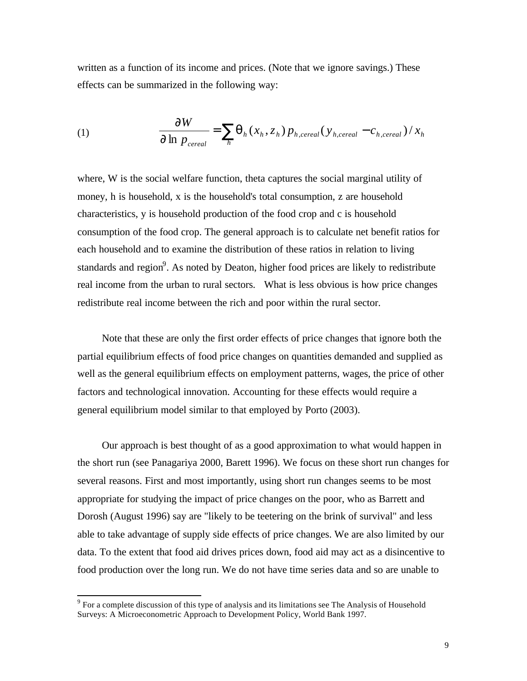written as a function of its income and prices. (Note that we ignore savings.) These effects can be summarized in the following way:

(1) 
$$
\frac{\partial W}{\partial \ln p_{\text{cereal}}} = \sum_{h} \bm{q}_h(x_h, z_h) p_{h,\text{cereal}}(y_{h,\text{cereal}} - c_{h,\text{cereal}}) / x_h
$$

where, W is the social welfare function, theta captures the social marginal utility of money, h is household, x is the household's total consumption, z are household characteristics, y is household production of the food crop and c is household consumption of the food crop. The general approach is to calculate net benefit ratios for each household and to examine the distribution of these ratios in relation to living standards and region<sup>9</sup>. As noted by Deaton, higher food prices are likely to redistribute real income from the urban to rural sectors. What is less obvious is how price changes redistribute real income between the rich and poor within the rural sector.

Note that these are only the first order effects of price changes that ignore both the partial equilibrium effects of food price changes on quantities demanded and supplied as well as the general equilibrium effects on employment patterns, wages, the price of other factors and technological innovation. Accounting for these effects would require a general equilibrium model similar to that employed by Porto (2003).

Our approach is best thought of as a good approximation to what would happen in the short run (see Panagariya 2000, Barett 1996). We focus on these short run changes for several reasons. First and most importantly, using short run changes seems to be most appropriate for studying the impact of price changes on the poor, who as Barrett and Dorosh (August 1996) say are "likely to be teetering on the brink of survival" and less able to take advantage of supply side effects of price changes. We are also limited by our data. To the extent that food aid drives prices down, food aid may act as a disincentive to food production over the long run. We do not have time series data and so are unable to

 $9^9$  For a complete discussion of this type of analysis and its limitations see The Analysis of Household Surveys: A Microeconometric Approach to Development Policy, World Bank 1997.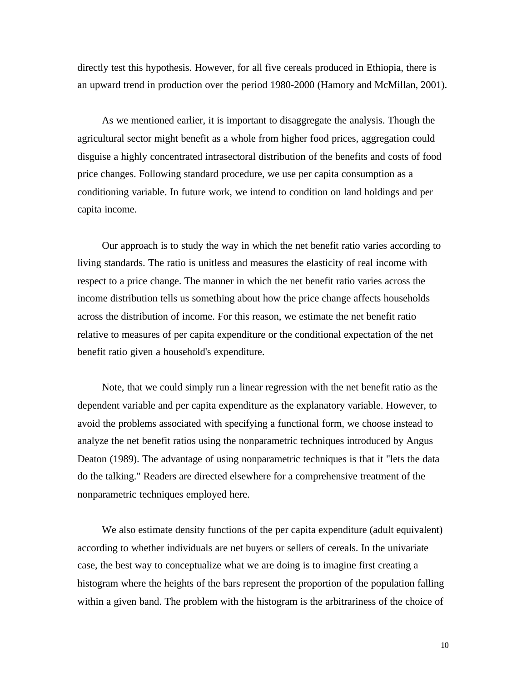directly test this hypothesis. However, for all five cereals produced in Ethiopia, there is an upward trend in production over the period 1980-2000 (Hamory and McMillan, 2001).

As we mentioned earlier, it is important to disaggregate the analysis. Though the agricultural sector might benefit as a whole from higher food prices, aggregation could disguise a highly concentrated intrasectoral distribution of the benefits and costs of food price changes. Following standard procedure, we use per capita consumption as a conditioning variable. In future work, we intend to condition on land holdings and per capita income.

Our approach is to study the way in which the net benefit ratio varies according to living standards. The ratio is unitless and measures the elasticity of real income with respect to a price change. The manner in which the net benefit ratio varies across the income distribution tells us something about how the price change affects households across the distribution of income. For this reason, we estimate the net benefit ratio relative to measures of per capita expenditure or the conditional expectation of the net benefit ratio given a household's expenditure.

Note, that we could simply run a linear regression with the net benefit ratio as the dependent variable and per capita expenditure as the explanatory variable. However, to avoid the problems associated with specifying a functional form, we choose instead to analyze the net benefit ratios using the nonparametric techniques introduced by Angus Deaton (1989). The advantage of using nonparametric techniques is that it "lets the data do the talking." Readers are directed elsewhere for a comprehensive treatment of the nonparametric techniques employed here.

We also estimate density functions of the per capita expenditure (adult equivalent) according to whether individuals are net buyers or sellers of cereals. In the univariate case, the best way to conceptualize what we are doing is to imagine first creating a histogram where the heights of the bars represent the proportion of the population falling within a given band. The problem with the histogram is the arbitrariness of the choice of

10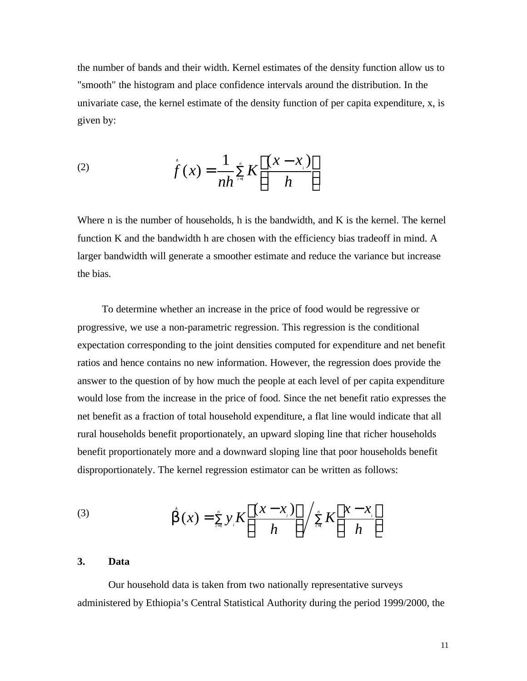the number of bands and their width. Kernel estimates of the density function allow us to "smooth" the histogram and place confidence intervals around the distribution. In the univariate case, the kernel estimate of the density function of per capita expenditure, x, is given by:

(2) 
$$
\hat{f}(x) = \frac{1}{nh} \sum_{i=1}^{n} K \left[ \frac{(x - x_i)}{h} \right]
$$

Where n is the number of households, h is the bandwidth, and K is the kernel. The kernel function K and the bandwidth h are chosen with the efficiency bias tradeoff in mind. A larger bandwidth will generate a smoother estimate and reduce the variance but increase the bias.

To determine whether an increase in the price of food would be regressive or progressive, we use a non-parametric regression. This regression is the conditional expectation corresponding to the joint densities computed for expenditure and net benefit ratios and hence contains no new information. However, the regression does provide the answer to the question of by how much the people at each level of per capita expenditure would lose from the increase in the price of food. Since the net benefit ratio expresses the net benefit as a fraction of total household expenditure, a flat line would indicate that all rural households benefit proportionately, an upward sloping line that richer households benefit proportionately more and a downward sloping line that poor households benefit disproportionately. The kernel regression estimator can be written as follows:

(3) 
$$
\hat{\boldsymbol{b}}(x) = \sum_{i=1}^{n} y_i K \left[ \frac{(x - x_i)}{h} \right] / \sum_{i=1}^{n} K \left[ \frac{x - x_i}{h} \right]
$$

#### **3. Data**

Our household data is taken from two nationally representative surveys administered by Ethiopia's Central Statistical Authority during the period 1999/2000, the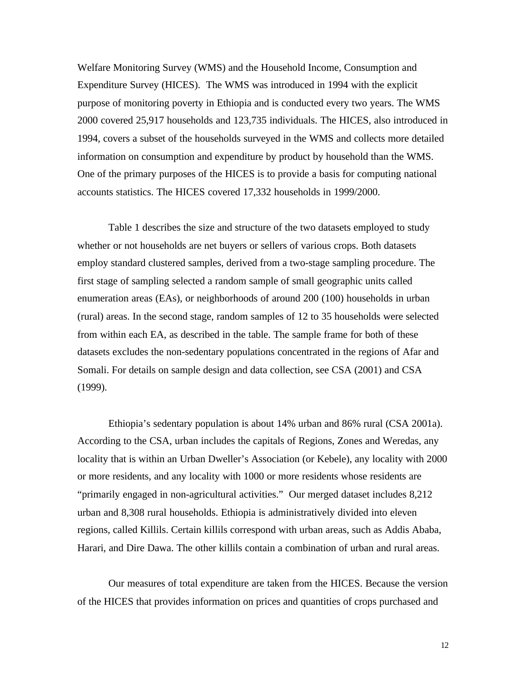Welfare Monitoring Survey (WMS) and the Household Income, Consumption and Expenditure Survey (HICES). The WMS was introduced in 1994 with the explicit purpose of monitoring poverty in Ethiopia and is conducted every two years. The WMS 2000 covered 25,917 households and 123,735 individuals. The HICES, also introduced in 1994, covers a subset of the households surveyed in the WMS and collects more detailed information on consumption and expenditure by product by household than the WMS. One of the primary purposes of the HICES is to provide a basis for computing national accounts statistics. The HICES covered 17,332 households in 1999/2000.

Table 1 describes the size and structure of the two datasets employed to study whether or not households are net buyers or sellers of various crops. Both datasets employ standard clustered samples, derived from a two-stage sampling procedure. The first stage of sampling selected a random sample of small geographic units called enumeration areas (EAs), or neighborhoods of around 200 (100) households in urban (rural) areas. In the second stage, random samples of 12 to 35 households were selected from within each EA, as described in the table. The sample frame for both of these datasets excludes the non-sedentary populations concentrated in the regions of Afar and Somali. For details on sample design and data collection, see CSA (2001) and CSA (1999).

Ethiopia's sedentary population is about 14% urban and 86% rural (CSA 2001a). According to the CSA, urban includes the capitals of Regions, Zones and Weredas, any locality that is within an Urban Dweller's Association (or Kebele), any locality with 2000 or more residents, and any locality with 1000 or more residents whose residents are "primarily engaged in non-agricultural activities." Our merged dataset includes 8,212 urban and 8,308 rural households. Ethiopia is administratively divided into eleven regions, called Killils. Certain killils correspond with urban areas, such as Addis Ababa, Harari, and Dire Dawa. The other killils contain a combination of urban and rural areas.

Our measures of total expenditure are taken from the HICES. Because the version of the HICES that provides information on prices and quantities of crops purchased and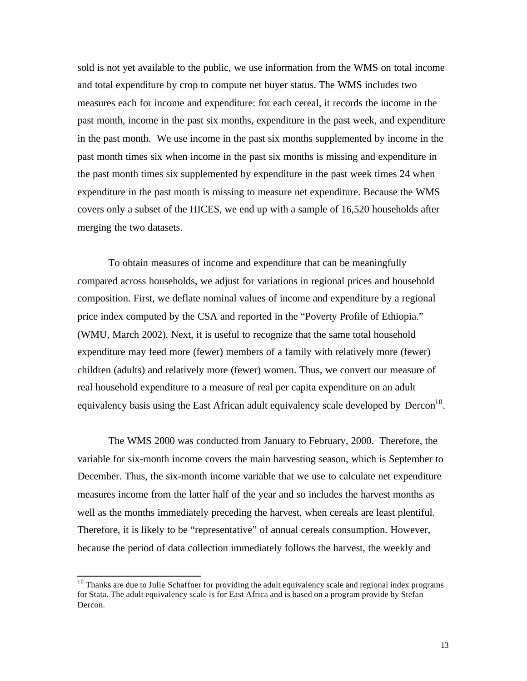sold is not yet available to the public, we use information from the WMS on total income and total expenditure by crop to compute net buyer status. The WMS includes two measures each for income and expenditure: for each cereal, it records the income in the past month, income in the past six months, expenditure in the past week, and expenditure in the past month. We use income in the past six months supplemented by income in the past month times six when income in the past six months is missing and expenditure in the past month times six supplemented by expenditure in the past week times 24 when expenditure in the past month is missing to measure net expenditure. Because the WMS covers only a subset of the HICES, we end up with a sample of 16,520 households after merging the two datasets.

To obtain measures of income and expenditure that can be meaningfully compared across households, we adjust for variations in regional prices and household composition. First, we deflate nominal values of income and expenditure by a regional price index computed by the CSA and reported in the "Poverty Profile of Ethiopia." (WMU, March 2002). Next, it is useful to recognize that the same total household expenditure may feed more (fewer) members of a family with relatively more (fewer) children (adults) and relatively more (fewer) women. Thus, we convert our measure of real household expenditure to a measure of real per capita expenditure on an adult equivalency basis using the East African adult equivalency scale developed by  $Dercon<sup>10</sup>$ .

The WMS 2000 was conducted from January to February, 2000. Therefore, the variable for six-month income covers the main harvesting season, which is September to December. Thus, the six-month income variable that we use to calculate net expenditure measures income from the latter half of the year and so includes the harvest months as well as the months immediately preceding the harvest, when cereals are least plentiful. Therefore, it is likely to be "representative" of annual cereals consumption. However, because the period of data collection immediately follows the harvest, the weekly and

 $10$  Thanks are due to Julie Schaffner for providing the adult equivalency scale and regional index programs for Stata. The adult equivalency scale is for East Africa and is based on a program provide by Stefan Dercon.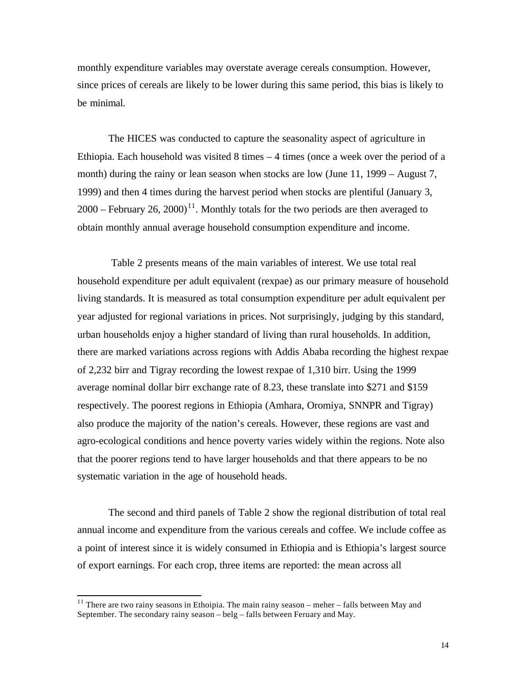monthly expenditure variables may overstate average cereals consumption. However, since prices of cereals are likely to be lower during this same period, this bias is likely to be minimal.

The HICES was conducted to capture the seasonality aspect of agriculture in Ethiopia. Each household was visited 8 times – 4 times (once a week over the period of a month) during the rainy or lean season when stocks are low (June 11, 1999 – August 7, 1999) and then 4 times during the harvest period when stocks are plentiful (January 3,  $2000$  – February 26, 2000)<sup>11</sup>. Monthly totals for the two periods are then averaged to obtain monthly annual average household consumption expenditure and income.

 Table 2 presents means of the main variables of interest. We use total real household expenditure per adult equivalent (rexpae) as our primary measure of household living standards. It is measured as total consumption expenditure per adult equivalent per year adjusted for regional variations in prices. Not surprisingly, judging by this standard, urban households enjoy a higher standard of living than rural households. In addition, there are marked variations across regions with Addis Ababa recording the highest rexpae of 2,232 birr and Tigray recording the lowest rexpae of 1,310 birr. Using the 1999 average nominal dollar birr exchange rate of 8.23, these translate into \$271 and \$159 respectively. The poorest regions in Ethiopia (Amhara, Oromiya, SNNPR and Tigray) also produce the majority of the nation's cereals. However, these regions are vast and agro-ecological conditions and hence poverty varies widely within the regions. Note also that the poorer regions tend to have larger households and that there appears to be no systematic variation in the age of household heads.

The second and third panels of Table 2 show the regional distribution of total real annual income and expenditure from the various cereals and coffee. We include coffee as a point of interest since it is widely consumed in Ethiopia and is Ethiopia's largest source of export earnings. For each crop, three items are reported: the mean across all

 $11$  There are two rainy seasons in Ethoipia. The main rainy season – meher – falls between May and September. The secondary rainy season – belg – falls between Feruary and May.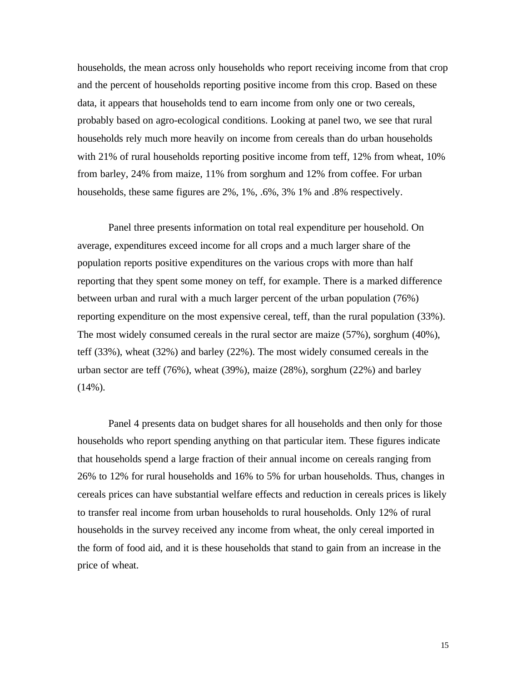households, the mean across only households who report receiving income from that crop and the percent of households reporting positive income from this crop. Based on these data, it appears that households tend to earn income from only one or two cereals, probably based on agro-ecological conditions. Looking at panel two, we see that rural households rely much more heavily on income from cereals than do urban households with 21% of rural households reporting positive income from teff, 12% from wheat, 10% from barley, 24% from maize, 11% from sorghum and 12% from coffee. For urban households, these same figures are 2%, 1%, .6%, 3% 1% and .8% respectively.

Panel three presents information on total real expenditure per household. On average, expenditures exceed income for all crops and a much larger share of the population reports positive expenditures on the various crops with more than half reporting that they spent some money on teff, for example. There is a marked difference between urban and rural with a much larger percent of the urban population (76%) reporting expenditure on the most expensive cereal, teff, than the rural population (33%). The most widely consumed cereals in the rural sector are maize (57%), sorghum (40%), teff (33%), wheat (32%) and barley (22%). The most widely consumed cereals in the urban sector are teff (76%), wheat (39%), maize (28%), sorghum (22%) and barley  $(14\%)$ .

Panel 4 presents data on budget shares for all households and then only for those households who report spending anything on that particular item. These figures indicate that households spend a large fraction of their annual income on cereals ranging from 26% to 12% for rural households and 16% to 5% for urban households. Thus, changes in cereals prices can have substantial welfare effects and reduction in cereals prices is likely to transfer real income from urban households to rural households. Only 12% of rural households in the survey received any income from wheat, the only cereal imported in the form of food aid, and it is these households that stand to gain from an increase in the price of wheat.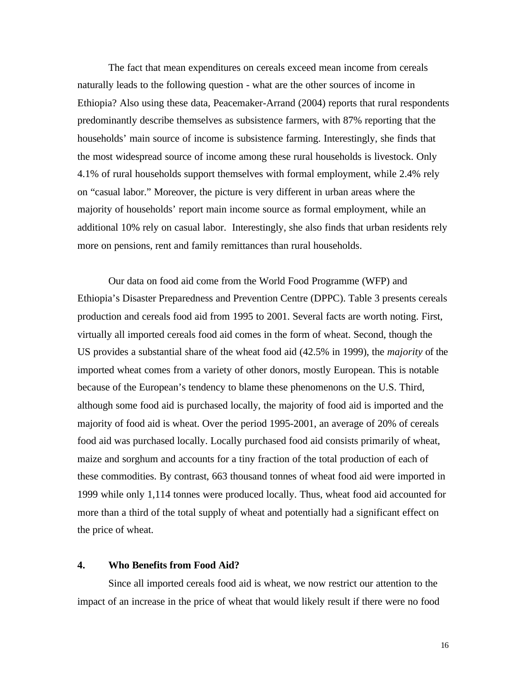The fact that mean expenditures on cereals exceed mean income from cereals naturally leads to the following question - what are the other sources of income in Ethiopia? Also using these data, Peacemaker-Arrand (2004) reports that rural respondents predominantly describe themselves as subsistence farmers, with 87% reporting that the households' main source of income is subsistence farming. Interestingly, she finds that the most widespread source of income among these rural households is livestock. Only 4.1% of rural households support themselves with formal employment, while 2.4% rely on "casual labor." Moreover, the picture is very different in urban areas where the majority of households' report main income source as formal employment, while an additional 10% rely on casual labor. Interestingly, she also finds that urban residents rely more on pensions, rent and family remittances than rural households.

Our data on food aid come from the World Food Programme (WFP) and Ethiopia's Disaster Preparedness and Prevention Centre (DPPC). Table 3 presents cereals production and cereals food aid from 1995 to 2001. Several facts are worth noting. First, virtually all imported cereals food aid comes in the form of wheat. Second, though the US provides a substantial share of the wheat food aid (42.5% in 1999), the *majority* of the imported wheat comes from a variety of other donors, mostly European. This is notable because of the European's tendency to blame these phenomenons on the U.S. Third, although some food aid is purchased locally, the majority of food aid is imported and the majority of food aid is wheat. Over the period 1995-2001, an average of 20% of cereals food aid was purchased locally. Locally purchased food aid consists primarily of wheat, maize and sorghum and accounts for a tiny fraction of the total production of each of these commodities. By contrast, 663 thousand tonnes of wheat food aid were imported in 1999 while only 1,114 tonnes were produced locally. Thus, wheat food aid accounted for more than a third of the total supply of wheat and potentially had a significant effect on the price of wheat.

## **4. Who Benefits from Food Aid?**

Since all imported cereals food aid is wheat, we now restrict our attention to the impact of an increase in the price of wheat that would likely result if there were no food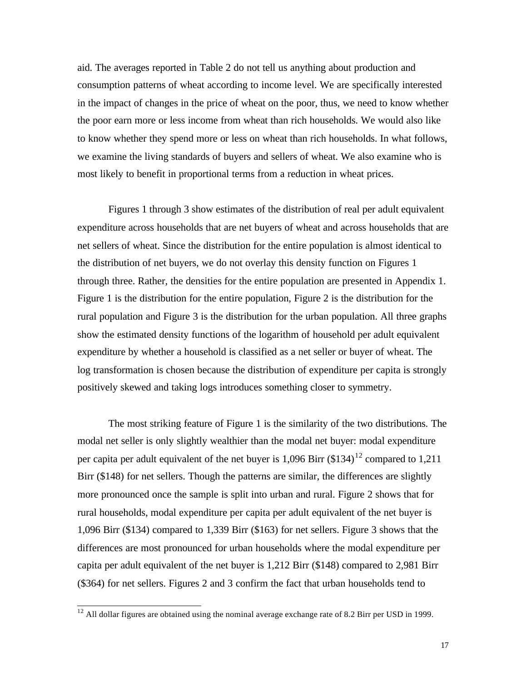aid. The averages reported in Table 2 do not tell us anything about production and consumption patterns of wheat according to income level. We are specifically interested in the impact of changes in the price of wheat on the poor, thus, we need to know whether the poor earn more or less income from wheat than rich households. We would also like to know whether they spend more or less on wheat than rich households. In what follows, we examine the living standards of buyers and sellers of wheat. We also examine who is most likely to benefit in proportional terms from a reduction in wheat prices.

Figures 1 through 3 show estimates of the distribution of real per adult equivalent expenditure across households that are net buyers of wheat and across households that are net sellers of wheat. Since the distribution for the entire population is almost identical to the distribution of net buyers, we do not overlay this density function on Figures 1 through three. Rather, the densities for the entire population are presented in Appendix 1. Figure 1 is the distribution for the entire population, Figure 2 is the distribution for the rural population and Figure 3 is the distribution for the urban population. All three graphs show the estimated density functions of the logarithm of household per adult equivalent expenditure by whether a household is classified as a net seller or buyer of wheat. The log transformation is chosen because the distribution of expenditure per capita is strongly positively skewed and taking logs introduces something closer to symmetry.

The most striking feature of Figure 1 is the similarity of the two distributions. The modal net seller is only slightly wealthier than the modal net buyer: modal expenditure per capita per adult equivalent of the net buyer is  $1,096$  Birr  $(\$134)^{12}$  compared to 1,211 Birr (\$148) for net sellers. Though the patterns are similar, the differences are slightly more pronounced once the sample is split into urban and rural. Figure 2 shows that for rural households, modal expenditure per capita per adult equivalent of the net buyer is 1,096 Birr (\$134) compared to 1,339 Birr (\$163) for net sellers. Figure 3 shows that the differences are most pronounced for urban households where the modal expenditure per capita per adult equivalent of the net buyer is 1,212 Birr (\$148) compared to 2,981 Birr (\$364) for net sellers. Figures 2 and 3 confirm the fact that urban households tend to

 $12$  All dollar figures are obtained using the nominal average exchange rate of 8.2 Birr per USD in 1999.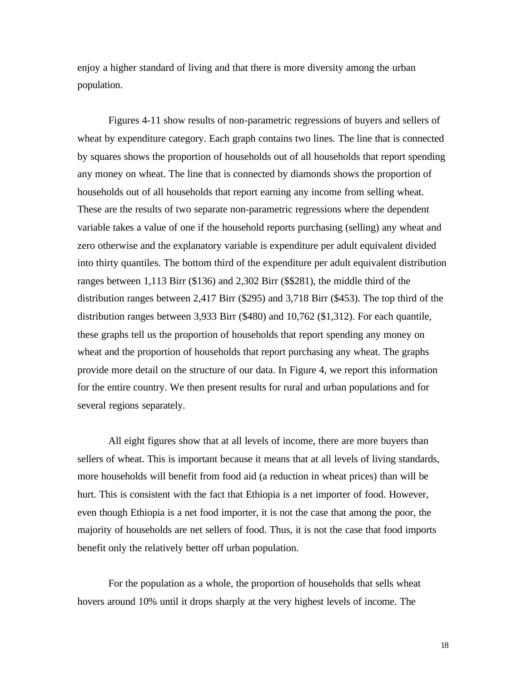enjoy a higher standard of living and that there is more diversity among the urban population.

Figures 4-11 show results of non-parametric regressions of buyers and sellers of wheat by expenditure category. Each graph contains two lines. The line that is connected by squares shows the proportion of households out of all households that report spending any money on wheat. The line that is connected by diamonds shows the proportion of households out of all households that report earning any income from selling wheat. These are the results of two separate non-parametric regressions where the dependent variable takes a value of one if the household reports purchasing (selling) any wheat and zero otherwise and the explanatory variable is expenditure per adult equivalent divided into thirty quantiles. The bottom third of the expenditure per adult equivalent distribution ranges between 1,113 Birr (\$136) and 2,302 Birr (\$\$281), the middle third of the distribution ranges between 2,417 Birr (\$295) and 3,718 Birr (\$453). The top third of the distribution ranges between 3,933 Birr (\$480) and 10,762 (\$1,312). For each quantile, these graphs tell us the proportion of households that report spending any money on wheat and the proportion of households that report purchasing any wheat. The graphs provide more detail on the structure of our data. In Figure 4, we report this information for the entire country. We then present results for rural and urban populations and for several regions separately.

All eight figures show that at all levels of income, there are more buyers than sellers of wheat. This is important because it means that at all levels of living standards, more households will benefit from food aid (a reduction in wheat prices) than will be hurt. This is consistent with the fact that Ethiopia is a net importer of food. However, even though Ethiopia is a net food importer, it is not the case that among the poor, the majority of households are net sellers of food. Thus, it is not the case that food imports benefit only the relatively better off urban population.

For the population as a whole, the proportion of households that sells wheat hovers around 10% until it drops sharply at the very highest levels of income. The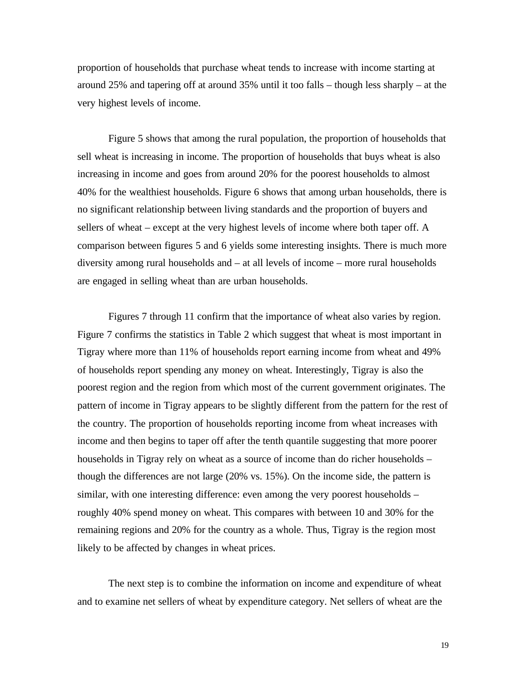proportion of households that purchase wheat tends to increase with income starting at around 25% and tapering off at around 35% until it too falls – though less sharply – at the very highest levels of income.

Figure 5 shows that among the rural population, the proportion of households that sell wheat is increasing in income. The proportion of households that buys wheat is also increasing in income and goes from around 20% for the poorest households to almost 40% for the wealthiest households. Figure 6 shows that among urban households, there is no significant relationship between living standards and the proportion of buyers and sellers of wheat – except at the very highest levels of income where both taper off. A comparison between figures 5 and 6 yields some interesting insights. There is much more diversity among rural households and – at all levels of income – more rural households are engaged in selling wheat than are urban households.

Figures 7 through 11 confirm that the importance of wheat also varies by region. Figure 7 confirms the statistics in Table 2 which suggest that wheat is most important in Tigray where more than 11% of households report earning income from wheat and 49% of households report spending any money on wheat. Interestingly, Tigray is also the poorest region and the region from which most of the current government originates. The pattern of income in Tigray appears to be slightly different from the pattern for the rest of the country. The proportion of households reporting income from wheat increases with income and then begins to taper off after the tenth quantile suggesting that more poorer households in Tigray rely on wheat as a source of income than do richer households – though the differences are not large (20% vs. 15%). On the income side, the pattern is similar, with one interesting difference: even among the very poorest households – roughly 40% spend money on wheat. This compares with between 10 and 30% for the remaining regions and 20% for the country as a whole. Thus, Tigray is the region most likely to be affected by changes in wheat prices.

The next step is to combine the information on income and expenditure of wheat and to examine net sellers of wheat by expenditure category. Net sellers of wheat are the

19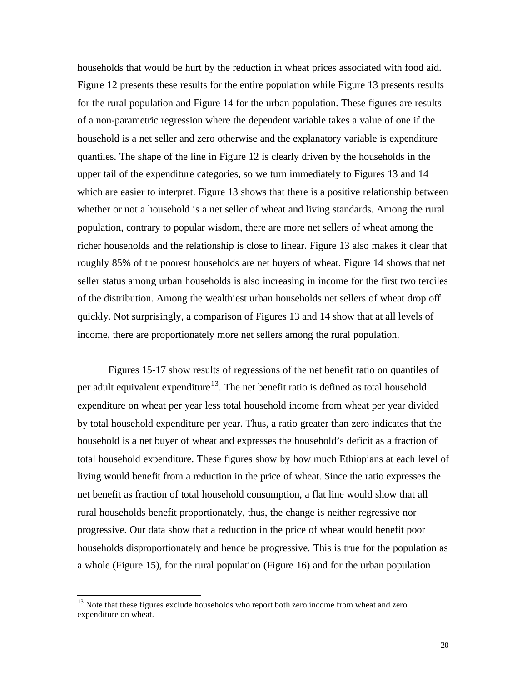households that would be hurt by the reduction in wheat prices associated with food aid. Figure 12 presents these results for the entire population while Figure 13 presents results for the rural population and Figure 14 for the urban population. These figures are results of a non-parametric regression where the dependent variable takes a value of one if the household is a net seller and zero otherwise and the explanatory variable is expenditure quantiles. The shape of the line in Figure 12 is clearly driven by the households in the upper tail of the expenditure categories, so we turn immediately to Figures 13 and 14 which are easier to interpret. Figure 13 shows that there is a positive relationship between whether or not a household is a net seller of wheat and living standards. Among the rural population, contrary to popular wisdom, there are more net sellers of wheat among the richer households and the relationship is close to linear. Figure 13 also makes it clear that roughly 85% of the poorest households are net buyers of wheat. Figure 14 shows that net seller status among urban households is also increasing in income for the first two terciles of the distribution. Among the wealthiest urban households net sellers of wheat drop off quickly. Not surprisingly, a comparison of Figures 13 and 14 show that at all levels of income, there are proportionately more net sellers among the rural population.

Figures 15-17 show results of regressions of the net benefit ratio on quantiles of per adult equivalent expenditure<sup>13</sup>. The net benefit ratio is defined as total household expenditure on wheat per year less total household income from wheat per year divided by total household expenditure per year. Thus, a ratio greater than zero indicates that the household is a net buyer of wheat and expresses the household's deficit as a fraction of total household expenditure. These figures show by how much Ethiopians at each level of living would benefit from a reduction in the price of wheat. Since the ratio expresses the net benefit as fraction of total household consumption, a flat line would show that all rural households benefit proportionately, thus, the change is neither regressive nor progressive. Our data show that a reduction in the price of wheat would benefit poor households disproportionately and hence be progressive. This is true for the population as a whole (Figure 15), for the rural population (Figure 16) and for the urban population

 $13$  Note that these figures exclude households who report both zero income from wheat and zero expenditure on wheat.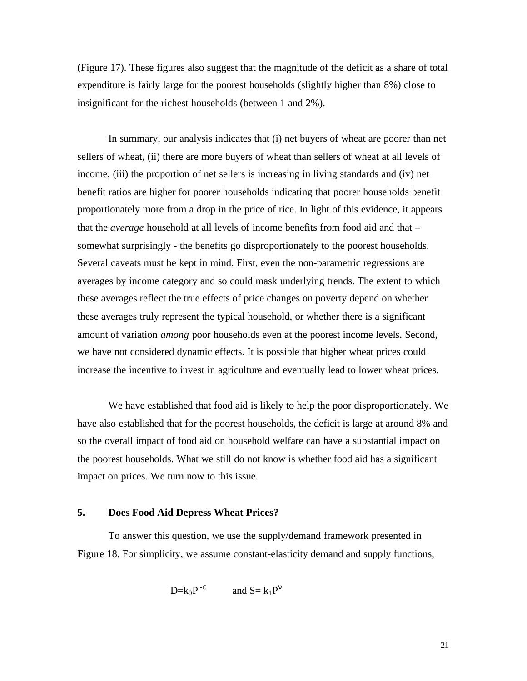(Figure 17). These figures also suggest that the magnitude of the deficit as a share of total expenditure is fairly large for the poorest households (slightly higher than 8%) close to insignificant for the richest households (between 1 and 2%).

In summary, our analysis indicates that (i) net buyers of wheat are poorer than net sellers of wheat, (ii) there are more buyers of wheat than sellers of wheat at all levels of income, (iii) the proportion of net sellers is increasing in living standards and (iv) net benefit ratios are higher for poorer households indicating that poorer households benefit proportionately more from a drop in the price of rice. In light of this evidence, it appears that the *average* household at all levels of income benefits from food aid and that – somewhat surprisingly - the benefits go disproportionately to the poorest households. Several caveats must be kept in mind. First, even the non-parametric regressions are averages by income category and so could mask underlying trends. The extent to which these averages reflect the true effects of price changes on poverty depend on whether these averages truly represent the typical household, or whether there is a significant amount of variation *among* poor households even at the poorest income levels. Second, we have not considered dynamic effects. It is possible that higher wheat prices could increase the incentive to invest in agriculture and eventually lead to lower wheat prices.

We have established that food aid is likely to help the poor disproportionately. We have also established that for the poorest households, the deficit is large at around 8% and so the overall impact of food aid on household welfare can have a substantial impact on the poorest households. What we still do not know is whether food aid has a significant impact on prices. We turn now to this issue.

## **5. Does Food Aid Depress Wheat Prices?**

To answer this question, we use the supply/demand framework presented in Figure 18. For simplicity, we assume constant-elasticity demand and supply functions,

$$
D=k_0P^{-\epsilon} \qquad \text{and } S=k_1P^{\nu}
$$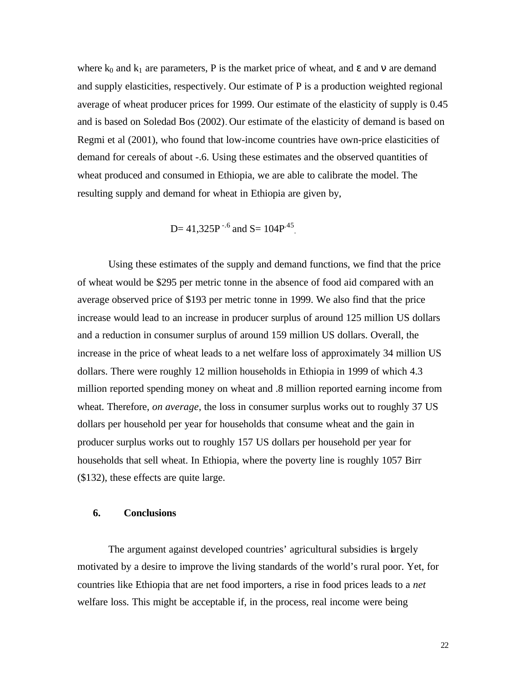where  $k_0$  and  $k_1$  are parameters, P is the market price of wheat, and  $\varepsilon$  and  $v$  are demand and supply elasticities, respectively. Our estimate of P is a production weighted regional average of wheat producer prices for 1999. Our estimate of the elasticity of supply is 0.45 and is based on Soledad Bos (2002). Our estimate of the elasticity of demand is based on Regmi et al (2001), who found that low-income countries have own-price elasticities of demand for cereals of about -.6. Using these estimates and the observed quantities of wheat produced and consumed in Ethiopia, we are able to calibrate the model. The resulting supply and demand for wheat in Ethiopia are given by,

$$
D = 41,325P^{-6} \text{ and } S = 104P^{45}
$$

Using these estimates of the supply and demand functions, we find that the price of wheat would be \$295 per metric tonne in the absence of food aid compared with an average observed price of \$193 per metric tonne in 1999. We also find that the price increase would lead to an increase in producer surplus of around 125 million US dollars and a reduction in consumer surplus of around 159 million US dollars. Overall, the increase in the price of wheat leads to a net welfare loss of approximately 34 million US dollars. There were roughly 12 million households in Ethiopia in 1999 of which 4.3 million reported spending money on wheat and .8 million reported earning income from wheat. Therefore, *on average*, the loss in consumer surplus works out to roughly 37 US dollars per household per year for households that consume wheat and the gain in producer surplus works out to roughly 157 US dollars per household per year for households that sell wheat. In Ethiopia, where the poverty line is roughly 1057 Birr (\$132), these effects are quite large.

## **6. Conclusions**

The argument against developed countries' agricultural subsidies is largely motivated by a desire to improve the living standards of the world's rural poor. Yet, for countries like Ethiopia that are net food importers, a rise in food prices leads to a *net* welfare loss. This might be acceptable if, in the process, real income were being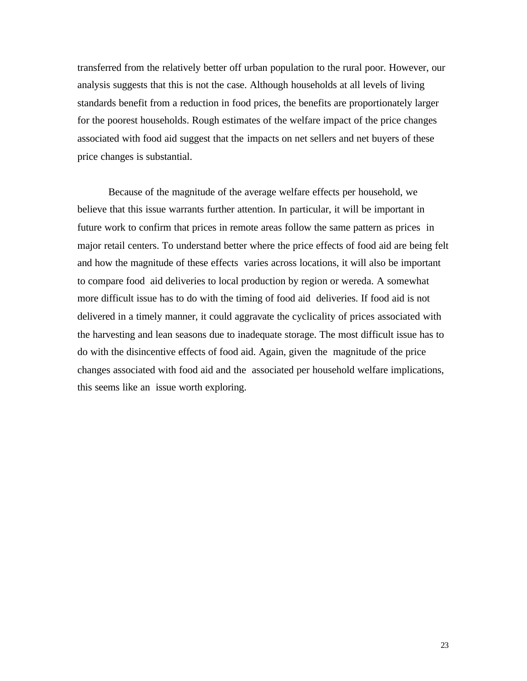transferred from the relatively better off urban population to the rural poor. However, our analysis suggests that this is not the case. Although households at all levels of living standards benefit from a reduction in food prices, the benefits are proportionately larger for the poorest households. Rough estimates of the welfare impact of the price changes associated with food aid suggest that the impacts on net sellers and net buyers of these price changes is substantial.

Because of the magnitude of the average welfare effects per household, we believe that this issue warrants further attention. In particular, it will be important in future work to confirm that prices in remote areas follow the same pattern as prices in major retail centers. To understand better where the price effects of food aid are being felt and how the magnitude of these effects varies across locations, it will also be important to compare food aid deliveries to local production by region or wereda. A somewhat more difficult issue has to do with the timing of food aid deliveries. If food aid is not delivered in a timely manner, it could aggravate the cyclicality of prices associated with the harvesting and lean seasons due to inadequate storage. The most difficult issue has to do with the disincentive effects of food aid. Again, given the magnitude of the price changes associated with food aid and the associated per household welfare implications, this seems like an issue worth exploring.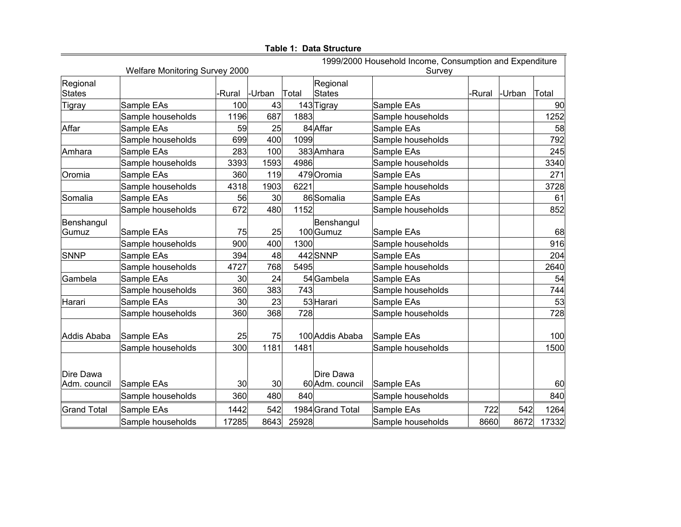|                           |                                       |            |        |       |                              | 1999/2000 Household Income, Consumption and Expenditure |       |        |       |
|---------------------------|---------------------------------------|------------|--------|-------|------------------------------|---------------------------------------------------------|-------|--------|-------|
|                           | <b>Welfare Monitoring Survey 2000</b> |            |        |       |                              | Survey                                                  |       |        |       |
| Regional                  |                                       |            |        |       | Regional                     |                                                         |       |        |       |
| States                    |                                       | -Rural     | -Urban | Total | <b>States</b>                |                                                         | Rural | -Urban | Total |
| Tigray                    | Sample EAs                            | 100        | 43     |       | 143 Tigray                   | Sample EAs                                              |       |        | 90    |
|                           | Sample households                     | 1196       | 687    | 1883  |                              | Sample households                                       |       |        | 1252  |
| Affar                     | Sample EAs                            | 59         | 25     |       | 84 Affar                     | Sample EAs                                              |       |        | 58    |
|                           | Sample households                     | 699        | 400    | 1099  |                              | Sample households                                       |       |        | 792   |
| Amhara                    | Sample EAs                            | 283        | 100    |       | 383 Amhara                   | Sample EAs                                              |       |        | 245   |
|                           | Sample households                     | 3393       | 1593   | 4986  |                              | Sample households                                       |       |        | 3340  |
| Oromia                    | Sample EAs                            | 360        | 119    |       | 479 Oromia                   | Sample EAs                                              |       |        | 271   |
|                           | Sample households                     | 4318       | 1903   | 6221  |                              | Sample households                                       |       |        | 3728  |
| Somalia                   | Sample EAs                            | 56         | 30     |       | 86 Somalia                   | Sample EAs                                              |       |        | 61    |
|                           | Sample households                     | 672        | 480    | 1152  |                              | Sample households                                       |       |        | 852   |
| Benshangul                |                                       |            |        |       | Benshangul                   |                                                         |       |        |       |
| Gumuz                     | Sample EAs                            | 75         | 25     |       | 100Gumuz                     | Sample EAs                                              |       |        | 68    |
|                           | Sample households                     | 900        | 400    | 1300  |                              | Sample households                                       |       |        | 916   |
| SNNP                      | Sample EAs                            | 394        | 48     |       | 442SNNP                      | Sample EAs                                              |       |        | 204   |
|                           | Sample households                     | 4727       | 768    | 5495  |                              | Sample households                                       |       |        | 2640  |
| Gambela                   | Sample EAs                            | 30         | 24     |       | 54 Gambela                   | Sample EAs                                              |       |        | 54    |
|                           | Sample households                     | <b>360</b> | 383    | 743   |                              | Sample households                                       |       |        | 744   |
| Harari                    | Sample EAs                            | 30         | 23     |       | 53 Harari                    | Sample EAs                                              |       |        | 53    |
|                           | Sample households                     | 360        | 368    | 728   |                              | Sample households                                       |       |        | 728   |
| Addis Ababa               | Sample EAs                            | 25         | 75     |       | 100 Addis Ababa              | Sample EAs                                              |       |        | 100   |
|                           | Sample households                     | 300        | 1181   | 1481  |                              | Sample households                                       |       |        | 1500  |
|                           |                                       |            |        |       |                              |                                                         |       |        |       |
| Dire Dawa<br>Adm. council | Sample EAs                            | 30         | 30     |       | Dire Dawa<br>60 Adm. council | Sample EAs                                              |       |        | 60    |
|                           | Sample households                     | 360        | 480    | 840   |                              | Sample households                                       |       |        | 840   |
| <b>Grand Total</b>        | Sample EAs                            | 1442       | 542    |       | 1984 Grand Total             | Sample EAs                                              | 722   | 542    | 1264  |
|                           | Sample households                     | 17285      | 8643   | 25928 |                              | Sample households                                       | 8660  | 8672   | 17332 |

**Table 1: Data Structure**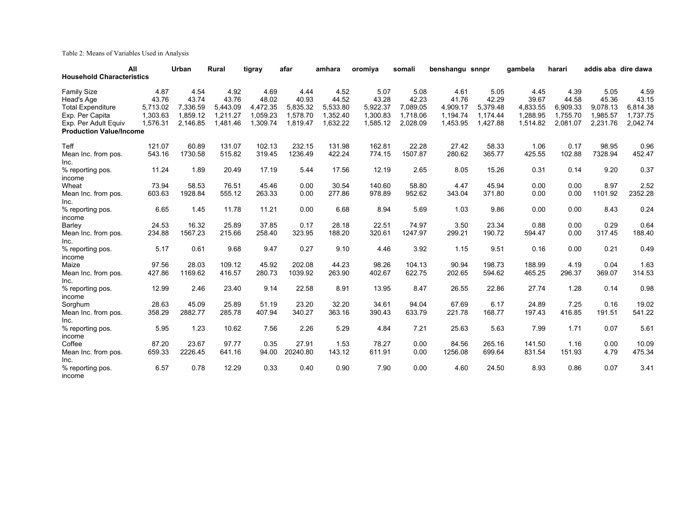Table 2: Means of Variables Used in Analysis

|                                  | All      | Urban    | <b>Rural</b> | tigray   | afar     | amhara   | oromiya  | somali   | benshangu snnpr |          | gambela  | harari   |          | addis aba dire dawa |
|----------------------------------|----------|----------|--------------|----------|----------|----------|----------|----------|-----------------|----------|----------|----------|----------|---------------------|
| <b>Household Characteristics</b> |          |          |              |          |          |          |          |          |                 |          |          |          |          |                     |
| <b>Family Size</b>               | 4.87     | 4.54     | 4.92         | 4.69     | 4.44     | 4.52     | 5.07     | 5.08     | 4.61            | 5.05     | 4.45     | 4.39     | 5.05     | 4.59                |
| Head's Age                       | 43.76    | 43.74    | 43.76        | 48.02    | 40.93    | 44.52    | 43.28    | 42.23    | 41.76           | 42.29    | 39.67    | 44.58    | 45.36    | 43.15               |
| <b>Total Expenditure</b>         | 5,713.02 | 7,336.59 | 5,443.09     | 4,472.35 | 5,835.32 | 5,533.80 | 5,922.37 | 7.089.05 | 4,909.17        | 5,379.48 | 4,833.55 | 6,909.33 | 9.078.13 | 6,814.38            |
| Exp. Per Capita                  | 1,303.63 | 1.859.12 | 1,211.27     | 1.059.23 | 1.578.70 | 1.352.40 | 1.300.83 | 1.718.06 | 1.194.74        | 1.174.44 | 1.288.95 | 1.755.70 | 1.985.57 | 1,737.75            |
| Exp. Per Adult Equiv             | 1,576.31 | 2,146.85 | 1,481.46     | 1,309.74 | 1,819.47 | 1,632.22 | 1,585.12 | 2,028.09 | 1,453.95        | 1,427.88 | 1,514.82 | 2,081.07 | 2,231.76 | 2,042.74            |
| <b>Production Value/Income</b>   |          |          |              |          |          |          |          |          |                 |          |          |          |          |                     |
| Teff                             | 121.07   | 60.89    | 131.07       | 102.13   | 232.15   | 131.98   | 162.81   | 22.28    | 27.42           | 58.33    | 1.06     | 0.17     | 98.95    | 0.96                |
| Mean Inc. from pos.              | 543.16   | 1730.58  | 515.82       | 319.45   | 1236.49  | 422.24   | 774.15   | 1507.87  | 280.62          | 365.77   | 425.55   | 102.88   | 7328.94  | 452.47              |
| Inc.                             |          |          |              |          |          |          |          |          |                 |          |          |          |          |                     |
| % reporting pos.<br>income       | 11.24    | 1.89     | 20.49        | 17.19    | 5.44     | 17.56    | 12.19    | 2.65     | 8.05            | 15.26    | 0.31     | 0.14     | 9.20     | 0.37                |
| Wheat                            | 73.94    | 58.53    | 76.51        | 45.46    | 0.00     | 30.54    | 140.60   | 58.80    | 4.47            | 45.94    | 0.00     | 0.00     | 8.97     | 2.52                |
| Mean Inc. from pos.              | 603.63   | 1928.84  | 555.12       | 263.33   | 0.00     | 277.86   | 978.89   | 952.62   | 343.04          | 371.80   | 0.00     | 0.00     | 1101.92  | 2352.28             |
| Inc.                             |          |          |              |          |          |          |          |          |                 |          |          |          |          |                     |
| % reporting pos.                 | 6.65     | 1.45     | 11.78        | 11.21    | 0.00     | 6.68     | 8.94     | 5.69     | 1.03            | 9.86     | 0.00     | 0.00     | 8.43     | 0.24                |
| income                           |          |          |              |          |          |          |          |          |                 |          |          |          |          |                     |
| Barley                           | 24.53    | 16.32    | 25.89        | 37.85    | 0.17     | 28.18    | 22.51    | 74.97    | 3.50            | 23.34    | 0.88     | 0.00     | 0.29     | 0.64                |
| Mean Inc. from pos.              | 234.88   | 1567.23  | 215.66       | 258.40   | 323.95   | 188.20   | 320.61   | 1247.97  | 299.21          | 190.72   | 594.47   | 0.00     | 317.45   | 188.40              |
| Inc.                             |          |          |              |          |          |          |          |          |                 |          |          |          |          |                     |
| % reporting pos.<br>income       | 5.17     | 0.61     | 9.68         | 9.47     | 0.27     | 9.10     | 4.46     | 3.92     | 1.15            | 9.51     | 0.16     | 0.00     | 0.21     | 0.49                |
| Maize                            | 97.56    | 28.03    | 109.12       | 45.92    | 202.08   | 44.23    | 98.26    | 104.13   | 90.94           | 198.73   | 188.99   | 4.19     | 0.04     | 1.63                |
| Mean Inc. from pos.<br>Inc.      | 427.86   | 1169.62  | 416.57       | 280.73   | 1039.92  | 263.90   | 402.67   | 622.75   | 202.65          | 594.62   | 465.25   | 296.37   | 369.07   | 314.53              |
|                                  | 12.99    | 2.46     | 23.40        | 9.14     | 22.58    | 8.91     | 13.95    | 8.47     | 26.55           | 22.86    | 27.74    | 1.28     | 0.14     | 0.98                |
| % reporting pos.<br>income       |          |          |              |          |          |          |          |          |                 |          |          |          |          |                     |
| Sorghum                          | 28.63    | 45.09    | 25.89        | 51.19    | 23.20    | 32.20    | 34.61    | 94.04    | 67.69           | 6.17     | 24.89    | 7.25     | 0.16     | 19.02               |
| Mean Inc. from pos.              | 358.29   | 2882.77  | 285.78       | 407.94   | 340.27   | 363.16   | 390.43   | 633.79   | 221.78          | 168.77   | 197.43   | 416.85   | 191.51   | 541.22              |
| Inc.                             |          |          |              |          |          |          |          |          |                 |          |          |          |          |                     |
| % reporting pos.<br>income       | 5.95     | 1.23     | 10.62        | 7.56     | 2.26     | 5.29     | 4.84     | 7.21     | 25.63           | 5.63     | 7.99     | 1.71     | 0.07     | 5.61                |
| Coffee                           | 87.20    | 23.67    | 97.77        | 0.35     | 27.91    | 1.53     | 78.27    | 0.00     | 84.56           | 265.16   | 141.50   | 1.16     | 0.00     | 10.09               |
| Mean Inc. from pos.              | 659.33   | 2226.45  | 641.16       | 94.00    | 20240.80 | 143.12   | 611.91   | 0.00     | 1256.08         | 699.64   | 831.54   | 151.93   | 4.79     | 475.34              |
| Inc.                             |          |          |              |          |          |          |          |          |                 |          |          |          |          |                     |
| % reporting pos.<br>income       | 6.57     | 0.78     | 12.29        | 0.33     | 0.40     | 0.90     | 7.90     | 0.00     | 4.60            | 24.50    | 8.93     | 0.86     | 0.07     | 3.41                |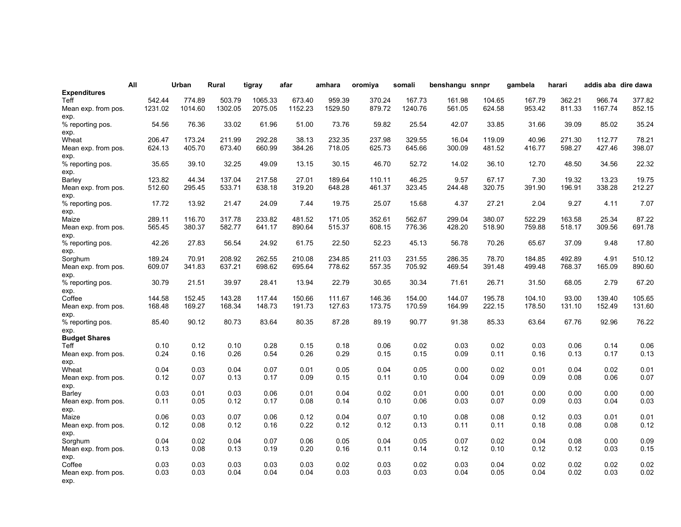| <b>Expenditures</b><br>Teff<br>542.44<br>774.89<br>503.79<br>1065.33<br>673.40<br>959.39<br>370.24<br>167.73<br>104.65<br>167.79<br>362.21<br>966.74<br>377.82<br>161.98<br>852.15<br>1231.02<br>1014.60<br>1302.05<br>2075.05<br>1152.23<br>1529.50<br>879.72<br>1240.76<br>561.05<br>624.58<br>953.42<br>811.33<br>1167.74<br>Mean exp. from pos.<br>exp.<br>35.24<br>33.02<br>61.96<br>42.07<br>31.66<br>39.09<br>% reporting pos.<br>54.56<br>76.36<br>51.00<br>73.76<br>59.82<br>25.54<br>33.85<br>85.02<br>exp.<br>292.28<br>232.35<br>78.21<br>206.47<br>173.24<br>211.99<br>38.13<br>237.98<br>329.55<br>16.04<br>119.09<br>40.96<br>271.30<br>112.77<br>Wheat<br>405.70<br>718.05<br>300.09<br>598.27<br>427.46<br>398.07<br>624.13<br>673.40<br>660.99<br>384.26<br>625.73<br>645.66<br>481.52<br>416.77<br>Mean exp. from pos.<br>exp.<br>39.10<br>49.09<br>22.32<br>% reporting pos.<br>35.65<br>32.25<br>13.15<br>30.15<br>46.70<br>52.72<br>14.02<br>36.10<br>12.70<br>48.50<br>34.56<br>exp.<br>9.57<br>19.75<br>Barley<br>123.82<br>44.34<br>137.04<br>217.58<br>27.01<br>189.64<br>110.11<br>46.25<br>67.17<br>7.30<br>19.32<br>13.23<br>212.27<br>512.60<br>295.45<br>533.71<br>638.18<br>319.20<br>648.28<br>461.37<br>323.45<br>244.48<br>320.75<br>391.90<br>196.91<br>338.28<br>Mean exp. from pos.<br>exp.<br>13.92<br>21.47<br>24.09<br>19.75<br>25.07<br>4.37<br>27.21<br>2.04<br>9.27<br>7.07<br>% reporting pos.<br>17.72<br>7.44<br>15.68<br>4.11<br>exp.<br>87.22<br>289.11<br>116.70<br>317.78<br>233.82<br>481.52<br>171.05<br>352.61<br>299.04<br>380.07<br>522.29<br>163.58<br>25.34<br>562.67<br>Maize<br>691.78<br>380.37<br>582.77<br>641.17<br>890.64<br>515.37<br>608.15<br>776.36<br>428.20<br>759.88<br>309.56<br>Mean exp. from pos.<br>565.45<br>518.90<br>518.17<br>exp.<br>17.80<br>24.92<br>22.50<br>52.23<br>56.78<br>% reporting pos.<br>42.26<br>27.83<br>56.54<br>61.75<br>45.13<br>70.26<br>65.67<br>37.09<br>9.48<br>exp.<br>510.12<br>189.24<br>70.91<br>208.92<br>262.55<br>210.08<br>234.85<br>211.03<br>231.55<br>286.35<br>78.70<br>492.89<br>4.91<br>Sorghum<br>184.85<br>698.62<br>778.62<br>469.54<br>890.60<br>609.07<br>341.83<br>637.21<br>695.64<br>557.35<br>705.92<br>391.48<br>499.48<br>768.37<br>165.09<br>Mean exp. from pos.<br>exp.<br>67.20<br>% reporting pos.<br>30.79<br>21.51<br>39.97<br>28.41<br>13.94<br>22.79<br>30.65<br>30.34<br>71.61<br>26.71<br>31.50<br>68.05<br>2.79<br>exp.<br>105.65<br>Coffee<br>144.58<br>152.45<br>143.28<br>117.44<br>150.66<br>111.67<br>146.36<br>154.00<br>144.07<br>195.78<br>104.10<br>93.00<br>139.40<br>169.27<br>168.34<br>148.73<br>164.99<br>222.15<br>178.50<br>152.49<br>131.60<br>Mean exp. from pos.<br>168.48<br>191.73<br>127.63<br>173.75<br>170.59<br>131.10<br>exp.<br>85.40<br>90.12<br>80.73<br>83.64<br>80.35<br>87.28<br>89.19<br>90.77<br>91.38<br>85.33<br>63.64<br>67.76<br>92.96<br>76.22<br>% reporting pos.<br>exp.<br><b>Budget Shares</b><br>0.06<br>0.12<br>0.10<br>0.28<br>0.15<br>0.18<br>0.02<br>0.03<br>0.02<br>0.03<br>0.14<br>Teff<br>0.10<br>0.06<br>0.06<br>0.29<br>0.15<br>0.17<br>0.13<br>0.24<br>0.16<br>0.26<br>0.54<br>0.26<br>0.15<br>0.09<br>0.11<br>0.16<br>0.13<br>Mean exp. from pos.<br>exp.<br>0.01<br>0.04<br>0.03<br>0.04<br>0.07<br>0.01<br>0.05<br>0.04<br>0.05<br>0.00<br>0.02<br>0.01<br>0.04<br>0.02<br>Wheat<br>0.07<br>0.07<br>0.13<br>0.09<br>0.15<br>0.10<br>0.09<br>0.09<br>0.06<br>0.12<br>0.17<br>0.11<br>0.04<br>0.08<br>Mean exp. from pos.<br>exp.<br>0.00<br>Barley<br>0.03<br>0.01<br>0.03<br>0.06<br>0.01<br>0.04<br>0.02<br>0.01<br>0.00<br>0.01<br>0.00<br>0.00<br>0.00<br>0.03<br>0.05<br>0.12<br>0.17<br>0.08<br>0.14<br>0.10<br>0.06<br>0.03<br>0.07<br>0.09<br>0.03<br>0.04<br>Mean exp. from pos.<br>0.11<br>exp.<br>0.01<br>0.06<br>0.03<br>0.07<br>0.06<br>0.12<br>0.04<br>0.07<br>0.10<br>0.08<br>0.08<br>0.12<br>0.03<br>0.01<br>Maize<br>0.12<br>0.22<br>0.18<br>0.08<br>0.12<br>Mean exp. from pos.<br>0.12<br>0.08<br>0.16<br>0.12<br>0.12<br>0.13<br>0.11<br>0.11<br>0.08<br>exp.<br>0.04<br>0.02<br>0.04<br>0.07<br>0.05<br>0.04<br>0.05<br>0.07<br>0.04<br>0.08<br>0.09<br>0.06<br>0.02<br>0.00<br>Sorghum<br>0.15<br>0.08<br>0.13<br>0.19<br>0.20<br>0.16<br>0.11<br>0.14<br>0.12<br>0.10<br>0.12<br>0.12<br>0.03<br>Mean exp. from pos.<br>0.13<br>exp.<br>0.02<br>0.03<br>Coffee<br>0.03<br>0.03<br>0.03<br>0.03<br>0.02<br>0.03<br>0.02<br>0.03<br>0.04<br>0.02<br>0.02<br>0.02<br>0.02<br>0.03<br>0.03<br>0.04<br>0.04<br>0.04<br>0.03<br>0.03<br>0.03<br>0.04<br>0.05<br>0.04<br>0.02<br>0.03<br>Mean exp. from pos.<br>exp. | All | Urban | Rural | tigray | afar | amhara | oromiya | somali | benshangu snnpr | gambela | harari | addis aba dire dawa |
|------------------------------------------------------------------------------------------------------------------------------------------------------------------------------------------------------------------------------------------------------------------------------------------------------------------------------------------------------------------------------------------------------------------------------------------------------------------------------------------------------------------------------------------------------------------------------------------------------------------------------------------------------------------------------------------------------------------------------------------------------------------------------------------------------------------------------------------------------------------------------------------------------------------------------------------------------------------------------------------------------------------------------------------------------------------------------------------------------------------------------------------------------------------------------------------------------------------------------------------------------------------------------------------------------------------------------------------------------------------------------------------------------------------------------------------------------------------------------------------------------------------------------------------------------------------------------------------------------------------------------------------------------------------------------------------------------------------------------------------------------------------------------------------------------------------------------------------------------------------------------------------------------------------------------------------------------------------------------------------------------------------------------------------------------------------------------------------------------------------------------------------------------------------------------------------------------------------------------------------------------------------------------------------------------------------------------------------------------------------------------------------------------------------------------------------------------------------------------------------------------------------------------------------------------------------------------------------------------------------------------------------------------------------------------------------------------------------------------------------------------------------------------------------------------------------------------------------------------------------------------------------------------------------------------------------------------------------------------------------------------------------------------------------------------------------------------------------------------------------------------------------------------------------------------------------------------------------------------------------------------------------------------------------------------------------------------------------------------------------------------------------------------------------------------------------------------------------------------------------------------------------------------------------------------------------------------------------------------------------------------------------------------------------------------------------------------------------------------------------------------------------------------------------------------------------------------------------------------------------------------------------------------------------------------------------------------------------------------------------------------------------------------------------------------------------------------------------------------------------------------------------------------------------------------------------------------------------------------------------------------------------------------------------------------------------------------------------------------------------------------------------------------------------------------------------------------------------------------------------------------------------------------------------------------------------------------------------------------------------------------------------|-----|-------|-------|--------|------|--------|---------|--------|-----------------|---------|--------|---------------------|
|                                                                                                                                                                                                                                                                                                                                                                                                                                                                                                                                                                                                                                                                                                                                                                                                                                                                                                                                                                                                                                                                                                                                                                                                                                                                                                                                                                                                                                                                                                                                                                                                                                                                                                                                                                                                                                                                                                                                                                                                                                                                                                                                                                                                                                                                                                                                                                                                                                                                                                                                                                                                                                                                                                                                                                                                                                                                                                                                                                                                                                                                                                                                                                                                                                                                                                                                                                                                                                                                                                                                                                                                                                                                                                                                                                                                                                                                                                                                                                                                                                                                                                                                                                                                                                                                                                                                                                                                                                                                                                                                                                                                                                          |     |       |       |        |      |        |         |        |                 |         |        |                     |
|                                                                                                                                                                                                                                                                                                                                                                                                                                                                                                                                                                                                                                                                                                                                                                                                                                                                                                                                                                                                                                                                                                                                                                                                                                                                                                                                                                                                                                                                                                                                                                                                                                                                                                                                                                                                                                                                                                                                                                                                                                                                                                                                                                                                                                                                                                                                                                                                                                                                                                                                                                                                                                                                                                                                                                                                                                                                                                                                                                                                                                                                                                                                                                                                                                                                                                                                                                                                                                                                                                                                                                                                                                                                                                                                                                                                                                                                                                                                                                                                                                                                                                                                                                                                                                                                                                                                                                                                                                                                                                                                                                                                                                          |     |       |       |        |      |        |         |        |                 |         |        |                     |
|                                                                                                                                                                                                                                                                                                                                                                                                                                                                                                                                                                                                                                                                                                                                                                                                                                                                                                                                                                                                                                                                                                                                                                                                                                                                                                                                                                                                                                                                                                                                                                                                                                                                                                                                                                                                                                                                                                                                                                                                                                                                                                                                                                                                                                                                                                                                                                                                                                                                                                                                                                                                                                                                                                                                                                                                                                                                                                                                                                                                                                                                                                                                                                                                                                                                                                                                                                                                                                                                                                                                                                                                                                                                                                                                                                                                                                                                                                                                                                                                                                                                                                                                                                                                                                                                                                                                                                                                                                                                                                                                                                                                                                          |     |       |       |        |      |        |         |        |                 |         |        |                     |
|                                                                                                                                                                                                                                                                                                                                                                                                                                                                                                                                                                                                                                                                                                                                                                                                                                                                                                                                                                                                                                                                                                                                                                                                                                                                                                                                                                                                                                                                                                                                                                                                                                                                                                                                                                                                                                                                                                                                                                                                                                                                                                                                                                                                                                                                                                                                                                                                                                                                                                                                                                                                                                                                                                                                                                                                                                                                                                                                                                                                                                                                                                                                                                                                                                                                                                                                                                                                                                                                                                                                                                                                                                                                                                                                                                                                                                                                                                                                                                                                                                                                                                                                                                                                                                                                                                                                                                                                                                                                                                                                                                                                                                          |     |       |       |        |      |        |         |        |                 |         |        |                     |
|                                                                                                                                                                                                                                                                                                                                                                                                                                                                                                                                                                                                                                                                                                                                                                                                                                                                                                                                                                                                                                                                                                                                                                                                                                                                                                                                                                                                                                                                                                                                                                                                                                                                                                                                                                                                                                                                                                                                                                                                                                                                                                                                                                                                                                                                                                                                                                                                                                                                                                                                                                                                                                                                                                                                                                                                                                                                                                                                                                                                                                                                                                                                                                                                                                                                                                                                                                                                                                                                                                                                                                                                                                                                                                                                                                                                                                                                                                                                                                                                                                                                                                                                                                                                                                                                                                                                                                                                                                                                                                                                                                                                                                          |     |       |       |        |      |        |         |        |                 |         |        |                     |
|                                                                                                                                                                                                                                                                                                                                                                                                                                                                                                                                                                                                                                                                                                                                                                                                                                                                                                                                                                                                                                                                                                                                                                                                                                                                                                                                                                                                                                                                                                                                                                                                                                                                                                                                                                                                                                                                                                                                                                                                                                                                                                                                                                                                                                                                                                                                                                                                                                                                                                                                                                                                                                                                                                                                                                                                                                                                                                                                                                                                                                                                                                                                                                                                                                                                                                                                                                                                                                                                                                                                                                                                                                                                                                                                                                                                                                                                                                                                                                                                                                                                                                                                                                                                                                                                                                                                                                                                                                                                                                                                                                                                                                          |     |       |       |        |      |        |         |        |                 |         |        |                     |
|                                                                                                                                                                                                                                                                                                                                                                                                                                                                                                                                                                                                                                                                                                                                                                                                                                                                                                                                                                                                                                                                                                                                                                                                                                                                                                                                                                                                                                                                                                                                                                                                                                                                                                                                                                                                                                                                                                                                                                                                                                                                                                                                                                                                                                                                                                                                                                                                                                                                                                                                                                                                                                                                                                                                                                                                                                                                                                                                                                                                                                                                                                                                                                                                                                                                                                                                                                                                                                                                                                                                                                                                                                                                                                                                                                                                                                                                                                                                                                                                                                                                                                                                                                                                                                                                                                                                                                                                                                                                                                                                                                                                                                          |     |       |       |        |      |        |         |        |                 |         |        |                     |
|                                                                                                                                                                                                                                                                                                                                                                                                                                                                                                                                                                                                                                                                                                                                                                                                                                                                                                                                                                                                                                                                                                                                                                                                                                                                                                                                                                                                                                                                                                                                                                                                                                                                                                                                                                                                                                                                                                                                                                                                                                                                                                                                                                                                                                                                                                                                                                                                                                                                                                                                                                                                                                                                                                                                                                                                                                                                                                                                                                                                                                                                                                                                                                                                                                                                                                                                                                                                                                                                                                                                                                                                                                                                                                                                                                                                                                                                                                                                                                                                                                                                                                                                                                                                                                                                                                                                                                                                                                                                                                                                                                                                                                          |     |       |       |        |      |        |         |        |                 |         |        |                     |
|                                                                                                                                                                                                                                                                                                                                                                                                                                                                                                                                                                                                                                                                                                                                                                                                                                                                                                                                                                                                                                                                                                                                                                                                                                                                                                                                                                                                                                                                                                                                                                                                                                                                                                                                                                                                                                                                                                                                                                                                                                                                                                                                                                                                                                                                                                                                                                                                                                                                                                                                                                                                                                                                                                                                                                                                                                                                                                                                                                                                                                                                                                                                                                                                                                                                                                                                                                                                                                                                                                                                                                                                                                                                                                                                                                                                                                                                                                                                                                                                                                                                                                                                                                                                                                                                                                                                                                                                                                                                                                                                                                                                                                          |     |       |       |        |      |        |         |        |                 |         |        |                     |
|                                                                                                                                                                                                                                                                                                                                                                                                                                                                                                                                                                                                                                                                                                                                                                                                                                                                                                                                                                                                                                                                                                                                                                                                                                                                                                                                                                                                                                                                                                                                                                                                                                                                                                                                                                                                                                                                                                                                                                                                                                                                                                                                                                                                                                                                                                                                                                                                                                                                                                                                                                                                                                                                                                                                                                                                                                                                                                                                                                                                                                                                                                                                                                                                                                                                                                                                                                                                                                                                                                                                                                                                                                                                                                                                                                                                                                                                                                                                                                                                                                                                                                                                                                                                                                                                                                                                                                                                                                                                                                                                                                                                                                          |     |       |       |        |      |        |         |        |                 |         |        |                     |
|                                                                                                                                                                                                                                                                                                                                                                                                                                                                                                                                                                                                                                                                                                                                                                                                                                                                                                                                                                                                                                                                                                                                                                                                                                                                                                                                                                                                                                                                                                                                                                                                                                                                                                                                                                                                                                                                                                                                                                                                                                                                                                                                                                                                                                                                                                                                                                                                                                                                                                                                                                                                                                                                                                                                                                                                                                                                                                                                                                                                                                                                                                                                                                                                                                                                                                                                                                                                                                                                                                                                                                                                                                                                                                                                                                                                                                                                                                                                                                                                                                                                                                                                                                                                                                                                                                                                                                                                                                                                                                                                                                                                                                          |     |       |       |        |      |        |         |        |                 |         |        |                     |
|                                                                                                                                                                                                                                                                                                                                                                                                                                                                                                                                                                                                                                                                                                                                                                                                                                                                                                                                                                                                                                                                                                                                                                                                                                                                                                                                                                                                                                                                                                                                                                                                                                                                                                                                                                                                                                                                                                                                                                                                                                                                                                                                                                                                                                                                                                                                                                                                                                                                                                                                                                                                                                                                                                                                                                                                                                                                                                                                                                                                                                                                                                                                                                                                                                                                                                                                                                                                                                                                                                                                                                                                                                                                                                                                                                                                                                                                                                                                                                                                                                                                                                                                                                                                                                                                                                                                                                                                                                                                                                                                                                                                                                          |     |       |       |        |      |        |         |        |                 |         |        |                     |
|                                                                                                                                                                                                                                                                                                                                                                                                                                                                                                                                                                                                                                                                                                                                                                                                                                                                                                                                                                                                                                                                                                                                                                                                                                                                                                                                                                                                                                                                                                                                                                                                                                                                                                                                                                                                                                                                                                                                                                                                                                                                                                                                                                                                                                                                                                                                                                                                                                                                                                                                                                                                                                                                                                                                                                                                                                                                                                                                                                                                                                                                                                                                                                                                                                                                                                                                                                                                                                                                                                                                                                                                                                                                                                                                                                                                                                                                                                                                                                                                                                                                                                                                                                                                                                                                                                                                                                                                                                                                                                                                                                                                                                          |     |       |       |        |      |        |         |        |                 |         |        |                     |
|                                                                                                                                                                                                                                                                                                                                                                                                                                                                                                                                                                                                                                                                                                                                                                                                                                                                                                                                                                                                                                                                                                                                                                                                                                                                                                                                                                                                                                                                                                                                                                                                                                                                                                                                                                                                                                                                                                                                                                                                                                                                                                                                                                                                                                                                                                                                                                                                                                                                                                                                                                                                                                                                                                                                                                                                                                                                                                                                                                                                                                                                                                                                                                                                                                                                                                                                                                                                                                                                                                                                                                                                                                                                                                                                                                                                                                                                                                                                                                                                                                                                                                                                                                                                                                                                                                                                                                                                                                                                                                                                                                                                                                          |     |       |       |        |      |        |         |        |                 |         |        |                     |
|                                                                                                                                                                                                                                                                                                                                                                                                                                                                                                                                                                                                                                                                                                                                                                                                                                                                                                                                                                                                                                                                                                                                                                                                                                                                                                                                                                                                                                                                                                                                                                                                                                                                                                                                                                                                                                                                                                                                                                                                                                                                                                                                                                                                                                                                                                                                                                                                                                                                                                                                                                                                                                                                                                                                                                                                                                                                                                                                                                                                                                                                                                                                                                                                                                                                                                                                                                                                                                                                                                                                                                                                                                                                                                                                                                                                                                                                                                                                                                                                                                                                                                                                                                                                                                                                                                                                                                                                                                                                                                                                                                                                                                          |     |       |       |        |      |        |         |        |                 |         |        |                     |
|                                                                                                                                                                                                                                                                                                                                                                                                                                                                                                                                                                                                                                                                                                                                                                                                                                                                                                                                                                                                                                                                                                                                                                                                                                                                                                                                                                                                                                                                                                                                                                                                                                                                                                                                                                                                                                                                                                                                                                                                                                                                                                                                                                                                                                                                                                                                                                                                                                                                                                                                                                                                                                                                                                                                                                                                                                                                                                                                                                                                                                                                                                                                                                                                                                                                                                                                                                                                                                                                                                                                                                                                                                                                                                                                                                                                                                                                                                                                                                                                                                                                                                                                                                                                                                                                                                                                                                                                                                                                                                                                                                                                                                          |     |       |       |        |      |        |         |        |                 |         |        |                     |
|                                                                                                                                                                                                                                                                                                                                                                                                                                                                                                                                                                                                                                                                                                                                                                                                                                                                                                                                                                                                                                                                                                                                                                                                                                                                                                                                                                                                                                                                                                                                                                                                                                                                                                                                                                                                                                                                                                                                                                                                                                                                                                                                                                                                                                                                                                                                                                                                                                                                                                                                                                                                                                                                                                                                                                                                                                                                                                                                                                                                                                                                                                                                                                                                                                                                                                                                                                                                                                                                                                                                                                                                                                                                                                                                                                                                                                                                                                                                                                                                                                                                                                                                                                                                                                                                                                                                                                                                                                                                                                                                                                                                                                          |     |       |       |        |      |        |         |        |                 |         |        |                     |
|                                                                                                                                                                                                                                                                                                                                                                                                                                                                                                                                                                                                                                                                                                                                                                                                                                                                                                                                                                                                                                                                                                                                                                                                                                                                                                                                                                                                                                                                                                                                                                                                                                                                                                                                                                                                                                                                                                                                                                                                                                                                                                                                                                                                                                                                                                                                                                                                                                                                                                                                                                                                                                                                                                                                                                                                                                                                                                                                                                                                                                                                                                                                                                                                                                                                                                                                                                                                                                                                                                                                                                                                                                                                                                                                                                                                                                                                                                                                                                                                                                                                                                                                                                                                                                                                                                                                                                                                                                                                                                                                                                                                                                          |     |       |       |        |      |        |         |        |                 |         |        |                     |
|                                                                                                                                                                                                                                                                                                                                                                                                                                                                                                                                                                                                                                                                                                                                                                                                                                                                                                                                                                                                                                                                                                                                                                                                                                                                                                                                                                                                                                                                                                                                                                                                                                                                                                                                                                                                                                                                                                                                                                                                                                                                                                                                                                                                                                                                                                                                                                                                                                                                                                                                                                                                                                                                                                                                                                                                                                                                                                                                                                                                                                                                                                                                                                                                                                                                                                                                                                                                                                                                                                                                                                                                                                                                                                                                                                                                                                                                                                                                                                                                                                                                                                                                                                                                                                                                                                                                                                                                                                                                                                                                                                                                                                          |     |       |       |        |      |        |         |        |                 |         |        |                     |
|                                                                                                                                                                                                                                                                                                                                                                                                                                                                                                                                                                                                                                                                                                                                                                                                                                                                                                                                                                                                                                                                                                                                                                                                                                                                                                                                                                                                                                                                                                                                                                                                                                                                                                                                                                                                                                                                                                                                                                                                                                                                                                                                                                                                                                                                                                                                                                                                                                                                                                                                                                                                                                                                                                                                                                                                                                                                                                                                                                                                                                                                                                                                                                                                                                                                                                                                                                                                                                                                                                                                                                                                                                                                                                                                                                                                                                                                                                                                                                                                                                                                                                                                                                                                                                                                                                                                                                                                                                                                                                                                                                                                                                          |     |       |       |        |      |        |         |        |                 |         |        |                     |
|                                                                                                                                                                                                                                                                                                                                                                                                                                                                                                                                                                                                                                                                                                                                                                                                                                                                                                                                                                                                                                                                                                                                                                                                                                                                                                                                                                                                                                                                                                                                                                                                                                                                                                                                                                                                                                                                                                                                                                                                                                                                                                                                                                                                                                                                                                                                                                                                                                                                                                                                                                                                                                                                                                                                                                                                                                                                                                                                                                                                                                                                                                                                                                                                                                                                                                                                                                                                                                                                                                                                                                                                                                                                                                                                                                                                                                                                                                                                                                                                                                                                                                                                                                                                                                                                                                                                                                                                                                                                                                                                                                                                                                          |     |       |       |        |      |        |         |        |                 |         |        |                     |
|                                                                                                                                                                                                                                                                                                                                                                                                                                                                                                                                                                                                                                                                                                                                                                                                                                                                                                                                                                                                                                                                                                                                                                                                                                                                                                                                                                                                                                                                                                                                                                                                                                                                                                                                                                                                                                                                                                                                                                                                                                                                                                                                                                                                                                                                                                                                                                                                                                                                                                                                                                                                                                                                                                                                                                                                                                                                                                                                                                                                                                                                                                                                                                                                                                                                                                                                                                                                                                                                                                                                                                                                                                                                                                                                                                                                                                                                                                                                                                                                                                                                                                                                                                                                                                                                                                                                                                                                                                                                                                                                                                                                                                          |     |       |       |        |      |        |         |        |                 |         |        |                     |
|                                                                                                                                                                                                                                                                                                                                                                                                                                                                                                                                                                                                                                                                                                                                                                                                                                                                                                                                                                                                                                                                                                                                                                                                                                                                                                                                                                                                                                                                                                                                                                                                                                                                                                                                                                                                                                                                                                                                                                                                                                                                                                                                                                                                                                                                                                                                                                                                                                                                                                                                                                                                                                                                                                                                                                                                                                                                                                                                                                                                                                                                                                                                                                                                                                                                                                                                                                                                                                                                                                                                                                                                                                                                                                                                                                                                                                                                                                                                                                                                                                                                                                                                                                                                                                                                                                                                                                                                                                                                                                                                                                                                                                          |     |       |       |        |      |        |         |        |                 |         |        |                     |
|                                                                                                                                                                                                                                                                                                                                                                                                                                                                                                                                                                                                                                                                                                                                                                                                                                                                                                                                                                                                                                                                                                                                                                                                                                                                                                                                                                                                                                                                                                                                                                                                                                                                                                                                                                                                                                                                                                                                                                                                                                                                                                                                                                                                                                                                                                                                                                                                                                                                                                                                                                                                                                                                                                                                                                                                                                                                                                                                                                                                                                                                                                                                                                                                                                                                                                                                                                                                                                                                                                                                                                                                                                                                                                                                                                                                                                                                                                                                                                                                                                                                                                                                                                                                                                                                                                                                                                                                                                                                                                                                                                                                                                          |     |       |       |        |      |        |         |        |                 |         |        |                     |
|                                                                                                                                                                                                                                                                                                                                                                                                                                                                                                                                                                                                                                                                                                                                                                                                                                                                                                                                                                                                                                                                                                                                                                                                                                                                                                                                                                                                                                                                                                                                                                                                                                                                                                                                                                                                                                                                                                                                                                                                                                                                                                                                                                                                                                                                                                                                                                                                                                                                                                                                                                                                                                                                                                                                                                                                                                                                                                                                                                                                                                                                                                                                                                                                                                                                                                                                                                                                                                                                                                                                                                                                                                                                                                                                                                                                                                                                                                                                                                                                                                                                                                                                                                                                                                                                                                                                                                                                                                                                                                                                                                                                                                          |     |       |       |        |      |        |         |        |                 |         |        |                     |
|                                                                                                                                                                                                                                                                                                                                                                                                                                                                                                                                                                                                                                                                                                                                                                                                                                                                                                                                                                                                                                                                                                                                                                                                                                                                                                                                                                                                                                                                                                                                                                                                                                                                                                                                                                                                                                                                                                                                                                                                                                                                                                                                                                                                                                                                                                                                                                                                                                                                                                                                                                                                                                                                                                                                                                                                                                                                                                                                                                                                                                                                                                                                                                                                                                                                                                                                                                                                                                                                                                                                                                                                                                                                                                                                                                                                                                                                                                                                                                                                                                                                                                                                                                                                                                                                                                                                                                                                                                                                                                                                                                                                                                          |     |       |       |        |      |        |         |        |                 |         |        |                     |
|                                                                                                                                                                                                                                                                                                                                                                                                                                                                                                                                                                                                                                                                                                                                                                                                                                                                                                                                                                                                                                                                                                                                                                                                                                                                                                                                                                                                                                                                                                                                                                                                                                                                                                                                                                                                                                                                                                                                                                                                                                                                                                                                                                                                                                                                                                                                                                                                                                                                                                                                                                                                                                                                                                                                                                                                                                                                                                                                                                                                                                                                                                                                                                                                                                                                                                                                                                                                                                                                                                                                                                                                                                                                                                                                                                                                                                                                                                                                                                                                                                                                                                                                                                                                                                                                                                                                                                                                                                                                                                                                                                                                                                          |     |       |       |        |      |        |         |        |                 |         |        |                     |
|                                                                                                                                                                                                                                                                                                                                                                                                                                                                                                                                                                                                                                                                                                                                                                                                                                                                                                                                                                                                                                                                                                                                                                                                                                                                                                                                                                                                                                                                                                                                                                                                                                                                                                                                                                                                                                                                                                                                                                                                                                                                                                                                                                                                                                                                                                                                                                                                                                                                                                                                                                                                                                                                                                                                                                                                                                                                                                                                                                                                                                                                                                                                                                                                                                                                                                                                                                                                                                                                                                                                                                                                                                                                                                                                                                                                                                                                                                                                                                                                                                                                                                                                                                                                                                                                                                                                                                                                                                                                                                                                                                                                                                          |     |       |       |        |      |        |         |        |                 |         |        |                     |
|                                                                                                                                                                                                                                                                                                                                                                                                                                                                                                                                                                                                                                                                                                                                                                                                                                                                                                                                                                                                                                                                                                                                                                                                                                                                                                                                                                                                                                                                                                                                                                                                                                                                                                                                                                                                                                                                                                                                                                                                                                                                                                                                                                                                                                                                                                                                                                                                                                                                                                                                                                                                                                                                                                                                                                                                                                                                                                                                                                                                                                                                                                                                                                                                                                                                                                                                                                                                                                                                                                                                                                                                                                                                                                                                                                                                                                                                                                                                                                                                                                                                                                                                                                                                                                                                                                                                                                                                                                                                                                                                                                                                                                          |     |       |       |        |      |        |         |        |                 |         |        |                     |
|                                                                                                                                                                                                                                                                                                                                                                                                                                                                                                                                                                                                                                                                                                                                                                                                                                                                                                                                                                                                                                                                                                                                                                                                                                                                                                                                                                                                                                                                                                                                                                                                                                                                                                                                                                                                                                                                                                                                                                                                                                                                                                                                                                                                                                                                                                                                                                                                                                                                                                                                                                                                                                                                                                                                                                                                                                                                                                                                                                                                                                                                                                                                                                                                                                                                                                                                                                                                                                                                                                                                                                                                                                                                                                                                                                                                                                                                                                                                                                                                                                                                                                                                                                                                                                                                                                                                                                                                                                                                                                                                                                                                                                          |     |       |       |        |      |        |         |        |                 |         |        |                     |
|                                                                                                                                                                                                                                                                                                                                                                                                                                                                                                                                                                                                                                                                                                                                                                                                                                                                                                                                                                                                                                                                                                                                                                                                                                                                                                                                                                                                                                                                                                                                                                                                                                                                                                                                                                                                                                                                                                                                                                                                                                                                                                                                                                                                                                                                                                                                                                                                                                                                                                                                                                                                                                                                                                                                                                                                                                                                                                                                                                                                                                                                                                                                                                                                                                                                                                                                                                                                                                                                                                                                                                                                                                                                                                                                                                                                                                                                                                                                                                                                                                                                                                                                                                                                                                                                                                                                                                                                                                                                                                                                                                                                                                          |     |       |       |        |      |        |         |        |                 |         |        |                     |
|                                                                                                                                                                                                                                                                                                                                                                                                                                                                                                                                                                                                                                                                                                                                                                                                                                                                                                                                                                                                                                                                                                                                                                                                                                                                                                                                                                                                                                                                                                                                                                                                                                                                                                                                                                                                                                                                                                                                                                                                                                                                                                                                                                                                                                                                                                                                                                                                                                                                                                                                                                                                                                                                                                                                                                                                                                                                                                                                                                                                                                                                                                                                                                                                                                                                                                                                                                                                                                                                                                                                                                                                                                                                                                                                                                                                                                                                                                                                                                                                                                                                                                                                                                                                                                                                                                                                                                                                                                                                                                                                                                                                                                          |     |       |       |        |      |        |         |        |                 |         |        |                     |
|                                                                                                                                                                                                                                                                                                                                                                                                                                                                                                                                                                                                                                                                                                                                                                                                                                                                                                                                                                                                                                                                                                                                                                                                                                                                                                                                                                                                                                                                                                                                                                                                                                                                                                                                                                                                                                                                                                                                                                                                                                                                                                                                                                                                                                                                                                                                                                                                                                                                                                                                                                                                                                                                                                                                                                                                                                                                                                                                                                                                                                                                                                                                                                                                                                                                                                                                                                                                                                                                                                                                                                                                                                                                                                                                                                                                                                                                                                                                                                                                                                                                                                                                                                                                                                                                                                                                                                                                                                                                                                                                                                                                                                          |     |       |       |        |      |        |         |        |                 |         |        |                     |
|                                                                                                                                                                                                                                                                                                                                                                                                                                                                                                                                                                                                                                                                                                                                                                                                                                                                                                                                                                                                                                                                                                                                                                                                                                                                                                                                                                                                                                                                                                                                                                                                                                                                                                                                                                                                                                                                                                                                                                                                                                                                                                                                                                                                                                                                                                                                                                                                                                                                                                                                                                                                                                                                                                                                                                                                                                                                                                                                                                                                                                                                                                                                                                                                                                                                                                                                                                                                                                                                                                                                                                                                                                                                                                                                                                                                                                                                                                                                                                                                                                                                                                                                                                                                                                                                                                                                                                                                                                                                                                                                                                                                                                          |     |       |       |        |      |        |         |        |                 |         |        |                     |
|                                                                                                                                                                                                                                                                                                                                                                                                                                                                                                                                                                                                                                                                                                                                                                                                                                                                                                                                                                                                                                                                                                                                                                                                                                                                                                                                                                                                                                                                                                                                                                                                                                                                                                                                                                                                                                                                                                                                                                                                                                                                                                                                                                                                                                                                                                                                                                                                                                                                                                                                                                                                                                                                                                                                                                                                                                                                                                                                                                                                                                                                                                                                                                                                                                                                                                                                                                                                                                                                                                                                                                                                                                                                                                                                                                                                                                                                                                                                                                                                                                                                                                                                                                                                                                                                                                                                                                                                                                                                                                                                                                                                                                          |     |       |       |        |      |        |         |        |                 |         |        |                     |
|                                                                                                                                                                                                                                                                                                                                                                                                                                                                                                                                                                                                                                                                                                                                                                                                                                                                                                                                                                                                                                                                                                                                                                                                                                                                                                                                                                                                                                                                                                                                                                                                                                                                                                                                                                                                                                                                                                                                                                                                                                                                                                                                                                                                                                                                                                                                                                                                                                                                                                                                                                                                                                                                                                                                                                                                                                                                                                                                                                                                                                                                                                                                                                                                                                                                                                                                                                                                                                                                                                                                                                                                                                                                                                                                                                                                                                                                                                                                                                                                                                                                                                                                                                                                                                                                                                                                                                                                                                                                                                                                                                                                                                          |     |       |       |        |      |        |         |        |                 |         |        |                     |
|                                                                                                                                                                                                                                                                                                                                                                                                                                                                                                                                                                                                                                                                                                                                                                                                                                                                                                                                                                                                                                                                                                                                                                                                                                                                                                                                                                                                                                                                                                                                                                                                                                                                                                                                                                                                                                                                                                                                                                                                                                                                                                                                                                                                                                                                                                                                                                                                                                                                                                                                                                                                                                                                                                                                                                                                                                                                                                                                                                                                                                                                                                                                                                                                                                                                                                                                                                                                                                                                                                                                                                                                                                                                                                                                                                                                                                                                                                                                                                                                                                                                                                                                                                                                                                                                                                                                                                                                                                                                                                                                                                                                                                          |     |       |       |        |      |        |         |        |                 |         |        |                     |
|                                                                                                                                                                                                                                                                                                                                                                                                                                                                                                                                                                                                                                                                                                                                                                                                                                                                                                                                                                                                                                                                                                                                                                                                                                                                                                                                                                                                                                                                                                                                                                                                                                                                                                                                                                                                                                                                                                                                                                                                                                                                                                                                                                                                                                                                                                                                                                                                                                                                                                                                                                                                                                                                                                                                                                                                                                                                                                                                                                                                                                                                                                                                                                                                                                                                                                                                                                                                                                                                                                                                                                                                                                                                                                                                                                                                                                                                                                                                                                                                                                                                                                                                                                                                                                                                                                                                                                                                                                                                                                                                                                                                                                          |     |       |       |        |      |        |         |        |                 |         |        |                     |
|                                                                                                                                                                                                                                                                                                                                                                                                                                                                                                                                                                                                                                                                                                                                                                                                                                                                                                                                                                                                                                                                                                                                                                                                                                                                                                                                                                                                                                                                                                                                                                                                                                                                                                                                                                                                                                                                                                                                                                                                                                                                                                                                                                                                                                                                                                                                                                                                                                                                                                                                                                                                                                                                                                                                                                                                                                                                                                                                                                                                                                                                                                                                                                                                                                                                                                                                                                                                                                                                                                                                                                                                                                                                                                                                                                                                                                                                                                                                                                                                                                                                                                                                                                                                                                                                                                                                                                                                                                                                                                                                                                                                                                          |     |       |       |        |      |        |         |        |                 |         |        |                     |
|                                                                                                                                                                                                                                                                                                                                                                                                                                                                                                                                                                                                                                                                                                                                                                                                                                                                                                                                                                                                                                                                                                                                                                                                                                                                                                                                                                                                                                                                                                                                                                                                                                                                                                                                                                                                                                                                                                                                                                                                                                                                                                                                                                                                                                                                                                                                                                                                                                                                                                                                                                                                                                                                                                                                                                                                                                                                                                                                                                                                                                                                                                                                                                                                                                                                                                                                                                                                                                                                                                                                                                                                                                                                                                                                                                                                                                                                                                                                                                                                                                                                                                                                                                                                                                                                                                                                                                                                                                                                                                                                                                                                                                          |     |       |       |        |      |        |         |        |                 |         |        |                     |
|                                                                                                                                                                                                                                                                                                                                                                                                                                                                                                                                                                                                                                                                                                                                                                                                                                                                                                                                                                                                                                                                                                                                                                                                                                                                                                                                                                                                                                                                                                                                                                                                                                                                                                                                                                                                                                                                                                                                                                                                                                                                                                                                                                                                                                                                                                                                                                                                                                                                                                                                                                                                                                                                                                                                                                                                                                                                                                                                                                                                                                                                                                                                                                                                                                                                                                                                                                                                                                                                                                                                                                                                                                                                                                                                                                                                                                                                                                                                                                                                                                                                                                                                                                                                                                                                                                                                                                                                                                                                                                                                                                                                                                          |     |       |       |        |      |        |         |        |                 |         |        |                     |
|                                                                                                                                                                                                                                                                                                                                                                                                                                                                                                                                                                                                                                                                                                                                                                                                                                                                                                                                                                                                                                                                                                                                                                                                                                                                                                                                                                                                                                                                                                                                                                                                                                                                                                                                                                                                                                                                                                                                                                                                                                                                                                                                                                                                                                                                                                                                                                                                                                                                                                                                                                                                                                                                                                                                                                                                                                                                                                                                                                                                                                                                                                                                                                                                                                                                                                                                                                                                                                                                                                                                                                                                                                                                                                                                                                                                                                                                                                                                                                                                                                                                                                                                                                                                                                                                                                                                                                                                                                                                                                                                                                                                                                          |     |       |       |        |      |        |         |        |                 |         |        |                     |
|                                                                                                                                                                                                                                                                                                                                                                                                                                                                                                                                                                                                                                                                                                                                                                                                                                                                                                                                                                                                                                                                                                                                                                                                                                                                                                                                                                                                                                                                                                                                                                                                                                                                                                                                                                                                                                                                                                                                                                                                                                                                                                                                                                                                                                                                                                                                                                                                                                                                                                                                                                                                                                                                                                                                                                                                                                                                                                                                                                                                                                                                                                                                                                                                                                                                                                                                                                                                                                                                                                                                                                                                                                                                                                                                                                                                                                                                                                                                                                                                                                                                                                                                                                                                                                                                                                                                                                                                                                                                                                                                                                                                                                          |     |       |       |        |      |        |         |        |                 |         |        |                     |
|                                                                                                                                                                                                                                                                                                                                                                                                                                                                                                                                                                                                                                                                                                                                                                                                                                                                                                                                                                                                                                                                                                                                                                                                                                                                                                                                                                                                                                                                                                                                                                                                                                                                                                                                                                                                                                                                                                                                                                                                                                                                                                                                                                                                                                                                                                                                                                                                                                                                                                                                                                                                                                                                                                                                                                                                                                                                                                                                                                                                                                                                                                                                                                                                                                                                                                                                                                                                                                                                                                                                                                                                                                                                                                                                                                                                                                                                                                                                                                                                                                                                                                                                                                                                                                                                                                                                                                                                                                                                                                                                                                                                                                          |     |       |       |        |      |        |         |        |                 |         |        |                     |
|                                                                                                                                                                                                                                                                                                                                                                                                                                                                                                                                                                                                                                                                                                                                                                                                                                                                                                                                                                                                                                                                                                                                                                                                                                                                                                                                                                                                                                                                                                                                                                                                                                                                                                                                                                                                                                                                                                                                                                                                                                                                                                                                                                                                                                                                                                                                                                                                                                                                                                                                                                                                                                                                                                                                                                                                                                                                                                                                                                                                                                                                                                                                                                                                                                                                                                                                                                                                                                                                                                                                                                                                                                                                                                                                                                                                                                                                                                                                                                                                                                                                                                                                                                                                                                                                                                                                                                                                                                                                                                                                                                                                                                          |     |       |       |        |      |        |         |        |                 |         |        |                     |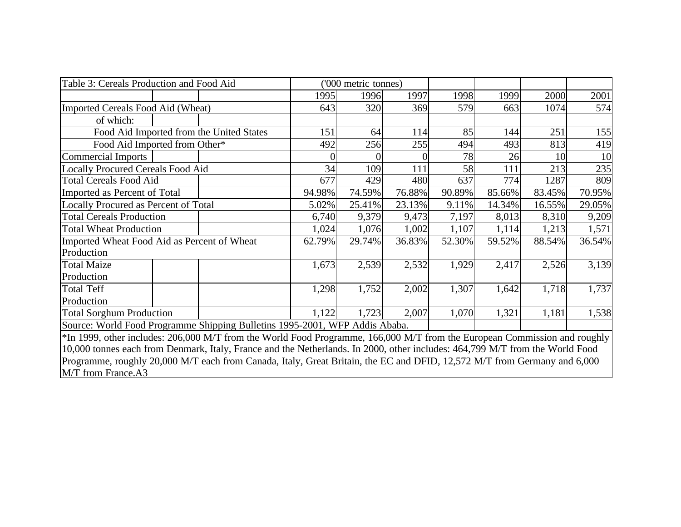| Table 3: Cereals Production and Food Aid                                                                                     |                                                                                                                           |  |  |  |        | ('000 metric tonnes) |        |        |        |        |        |  |
|------------------------------------------------------------------------------------------------------------------------------|---------------------------------------------------------------------------------------------------------------------------|--|--|--|--------|----------------------|--------|--------|--------|--------|--------|--|
|                                                                                                                              |                                                                                                                           |  |  |  | 1995   | 1996                 | 1997   | 1998   | 1999   | 2000   | 2001   |  |
|                                                                                                                              | Imported Cereals Food Aid (Wheat)                                                                                         |  |  |  | 643    | 320                  | 369    | 579    | 663    | 1074   | 574    |  |
|                                                                                                                              | of which:                                                                                                                 |  |  |  |        |                      |        |        |        |        |        |  |
|                                                                                                                              | Food Aid Imported from the United States                                                                                  |  |  |  | 151    | 64                   | 114    | 85     | 144    | 251    | 155    |  |
|                                                                                                                              | Food Aid Imported from Other*                                                                                             |  |  |  | 492    | 256                  | 255    | 494    | 493    | 813    | 419    |  |
| <b>Commercial Imports</b>                                                                                                    |                                                                                                                           |  |  |  |        |                      |        | 78     | 26     | 10     | 10     |  |
|                                                                                                                              | <b>Locally Procured Cereals Food Aid</b>                                                                                  |  |  |  | 34     | 109                  | 111    | 58     | 111    | 213    | 235    |  |
| <b>Total Cereals Food Aid</b>                                                                                                |                                                                                                                           |  |  |  | 677    | 429                  | 480    | 637    | 774    | 1287   | 809    |  |
|                                                                                                                              | Imported as Percent of Total                                                                                              |  |  |  | 94.98% | 74.59%               | 76.88% | 90.89% | 85.66% | 83.45% | 70.95% |  |
| Locally Procured as Percent of Total                                                                                         |                                                                                                                           |  |  |  | 5.02%  | 25.41%               | 23.13% | 9.11%  | 14.34% | 16.55% | 29.05% |  |
| <b>Total Cereals Production</b>                                                                                              |                                                                                                                           |  |  |  | 6,740  | 9,379                | 9,473  | 7,197  | 8,013  | 8,310  | 9,209  |  |
| <b>Total Wheat Production</b>                                                                                                |                                                                                                                           |  |  |  | 1,024  | 1,076                | 1,002  | 1,107  | 1,114  | 1,213  | 1,571  |  |
| Imported Wheat Food Aid as Percent of Wheat                                                                                  |                                                                                                                           |  |  |  | 62.79% | 29.74%               | 36.83% | 52.30% | 59.52% | 88.54% | 36.54% |  |
| Production                                                                                                                   |                                                                                                                           |  |  |  |        |                      |        |        |        |        |        |  |
| <b>Total Maize</b>                                                                                                           |                                                                                                                           |  |  |  | 1,673  | 2,539                | 2,532  | 1,929  | 2,417  | 2,526  | 3,139  |  |
| Production                                                                                                                   |                                                                                                                           |  |  |  |        |                      |        |        |        |        |        |  |
| <b>Total Teff</b>                                                                                                            |                                                                                                                           |  |  |  | 1,298  | 1,752                | 2,002  | 1,307  | 1,642  | 1,718  | 1,737  |  |
| Production                                                                                                                   |                                                                                                                           |  |  |  |        |                      |        |        |        |        |        |  |
|                                                                                                                              | <b>Total Sorghum Production</b>                                                                                           |  |  |  | 1,122  | 1,723                | 2,007  | 1,070  | 1,321  | 1,181  | 1,538  |  |
| Source: World Food Programme Shipping Bulletins 1995-2001, WFP Addis Ababa.                                                  |                                                                                                                           |  |  |  |        |                      |        |        |        |        |        |  |
|                                                                                                                              | *In 1999, other includes: 206,000 M/T from the World Food Programme, 166,000 M/T from the European Commission and roughly |  |  |  |        |                      |        |        |        |        |        |  |
| 10,000 tonnes each from Denmark, Italy, France and the Netherlands. In 2000, other includes: 464,799 M/T from the World Food |                                                                                                                           |  |  |  |        |                      |        |        |        |        |        |  |
|                                                                                                                              | Programme, roughly 20,000 M/T each from Canada, Italy, Great Britain, the EC and DFID, 12,572 M/T from Germany and 6,000  |  |  |  |        |                      |        |        |        |        |        |  |
| M/T from France.A3                                                                                                           |                                                                                                                           |  |  |  |        |                      |        |        |        |        |        |  |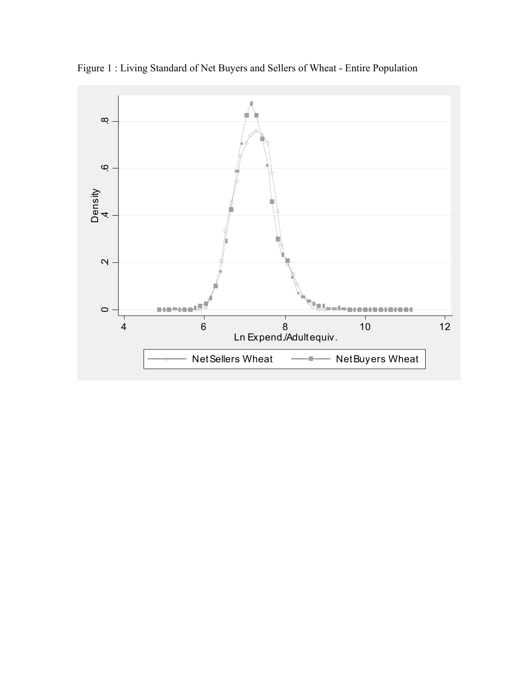

Figure 1 : Living Standard of Net Buyers and Sellers of Wheat - Entire Population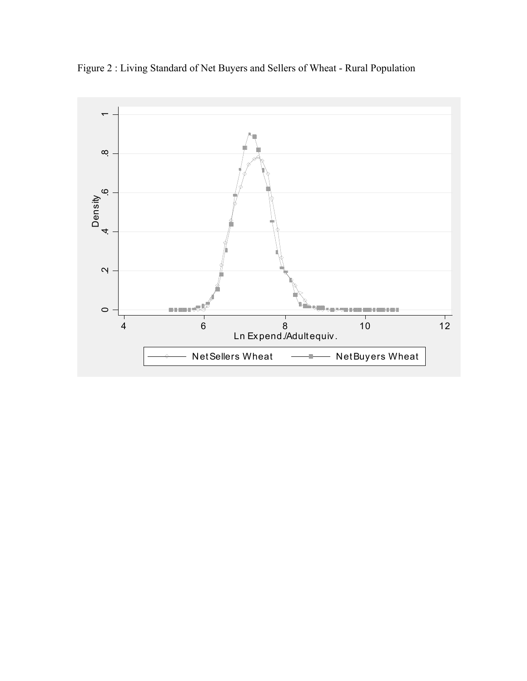

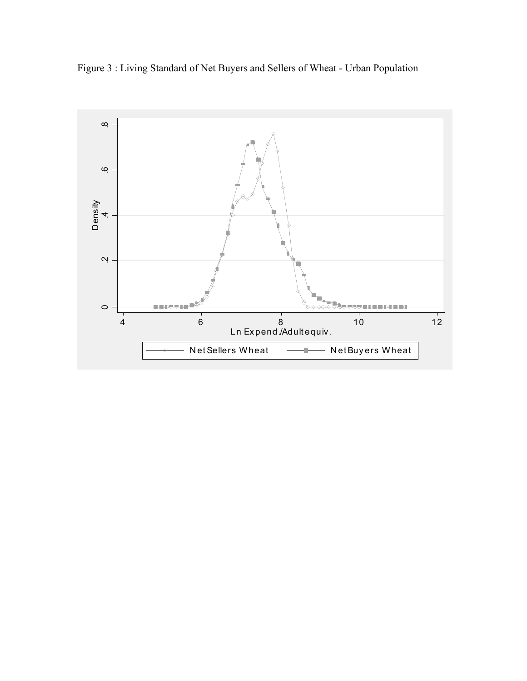

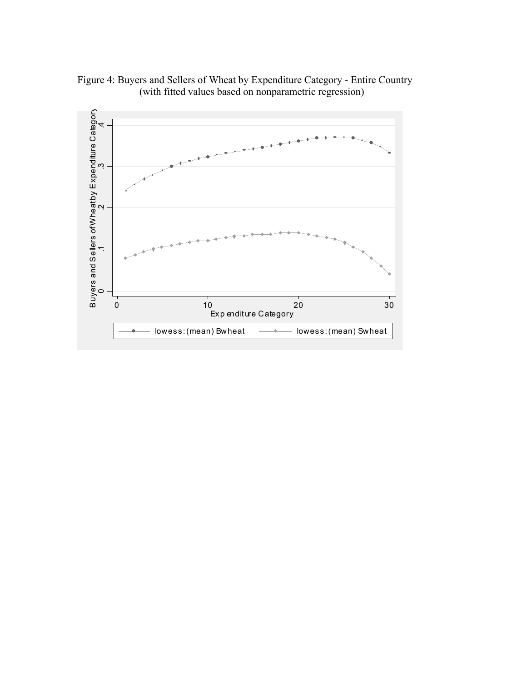

Figure 4: Buyers and Sellers of Wheat by Expenditure Category - Entire Country (with fitted values based on nonparametric regression)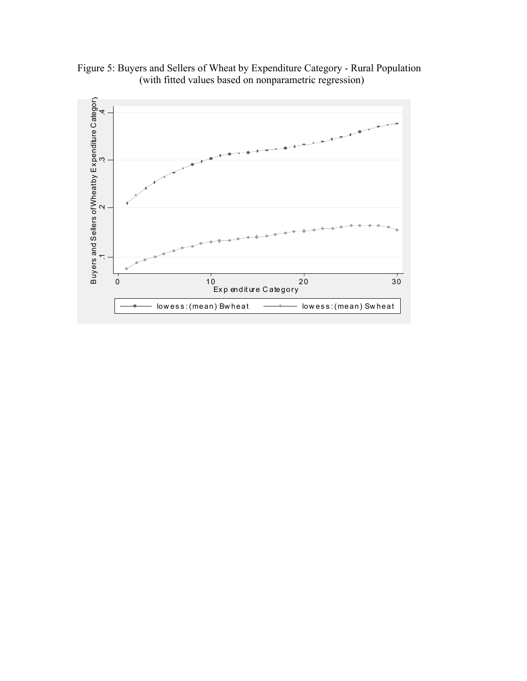

0 10 20 30 Ex p endit ure C ategory

 $lowest: (mean) Bwheat \longrightarrow \text{lowess:} (mean) Swheat$ 

Figure 5: Buyers and Sellers of Wheat by Expenditure Category - Rural Population (with fitted values based on nonparametric regression)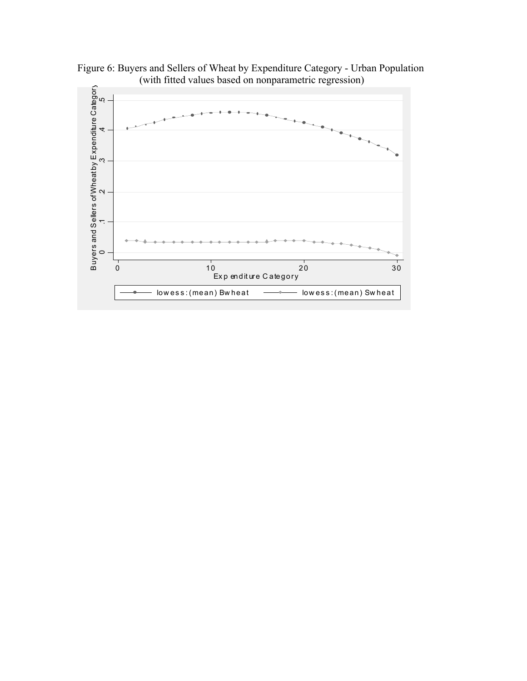

Figure 6: Buyers and Sellers of Wheat by Expenditure Category - Urban Population<br>(with fitted values based on nonparametric regression)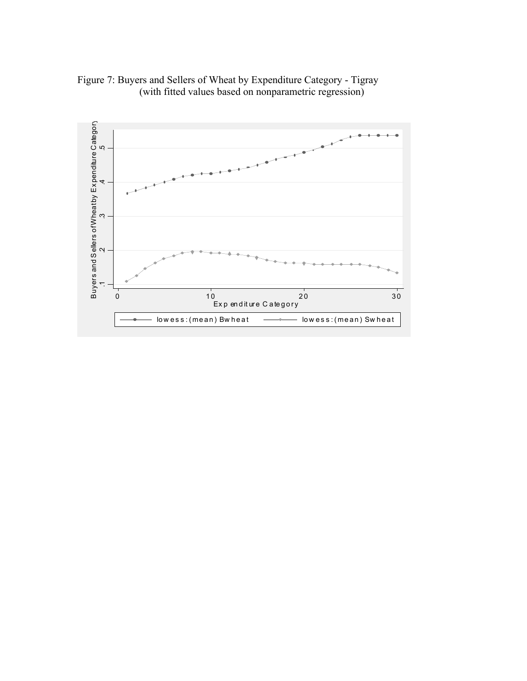

Figure 7: Buyers and Sellers of Wheat by Expenditure Category - Tigray<br>(with fitted values based on nonparametric regression)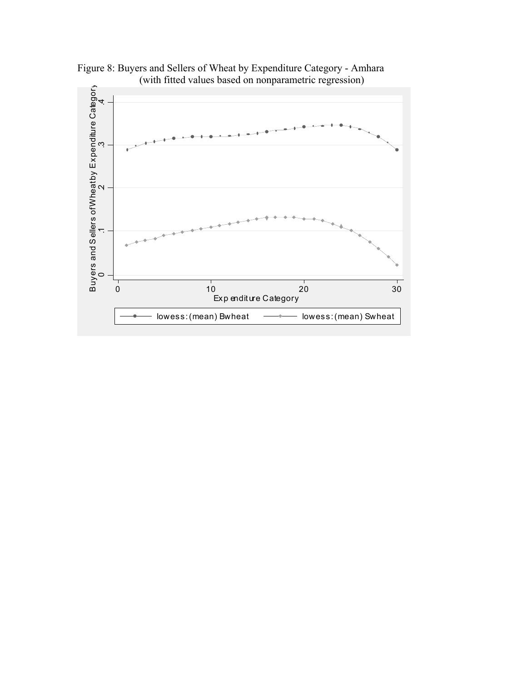

Figure 8: Buyers and Sellers of Wheat by Expenditure Category - Amhara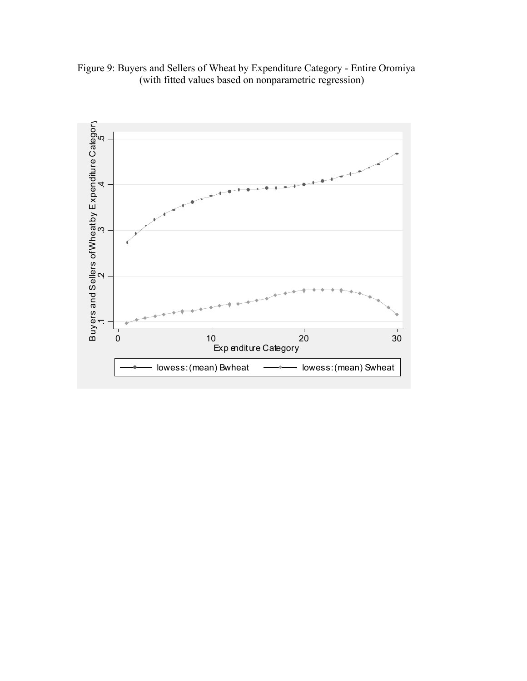

Figure 9: Buyers and Sellers of Wheat by Expenditure Category - Entire Oromiya (with fitted values based on nonparametric regression)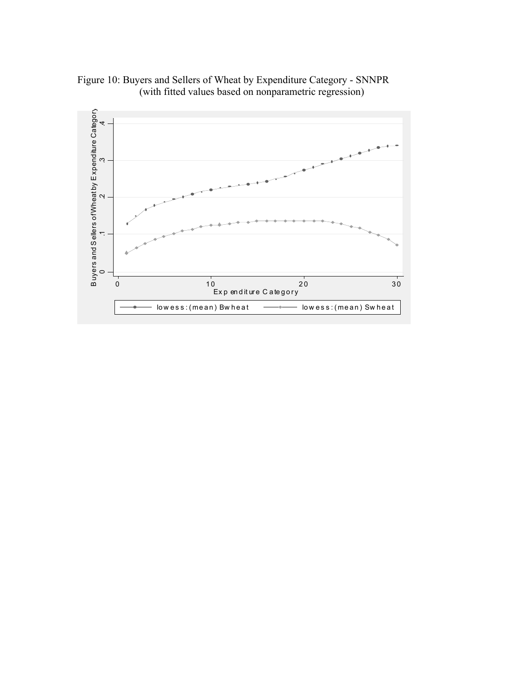

Figure 10: Buyers and Sellers of Wheat by Expenditure Category - SNNPR<br>(with fitted values based on nonparametric regression)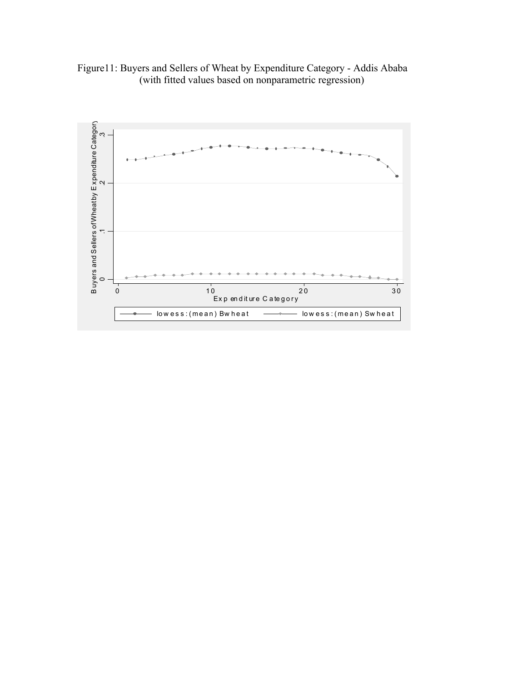

Figure11: Buyers and Sellers of Wheat by Expenditure Category - Addis Ababa (with fitted values based on nonparametric regression)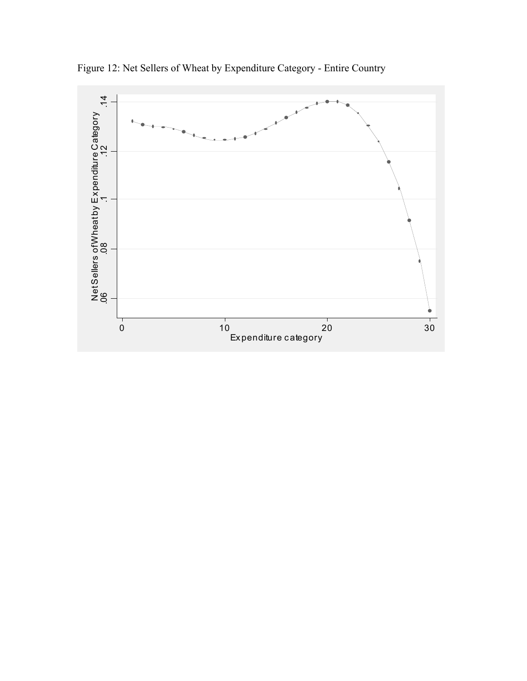

Figure 12: Net Sellers of Wheat by Expenditure Category - Entire Country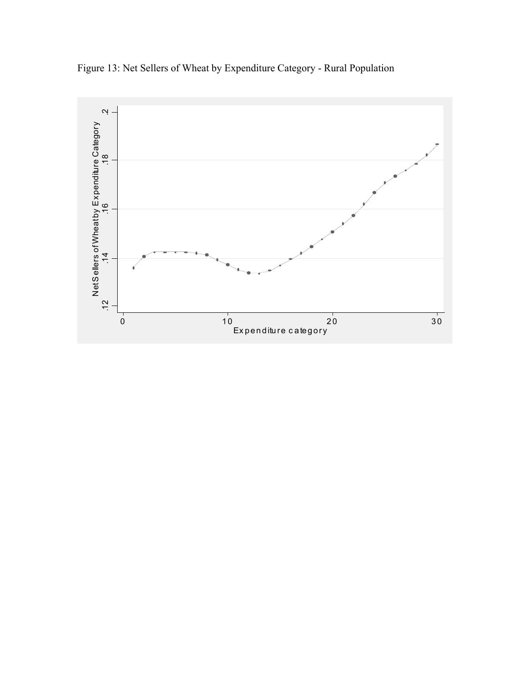

Figure 13: Net Sellers of Wheat by Expenditure Category - Rural Population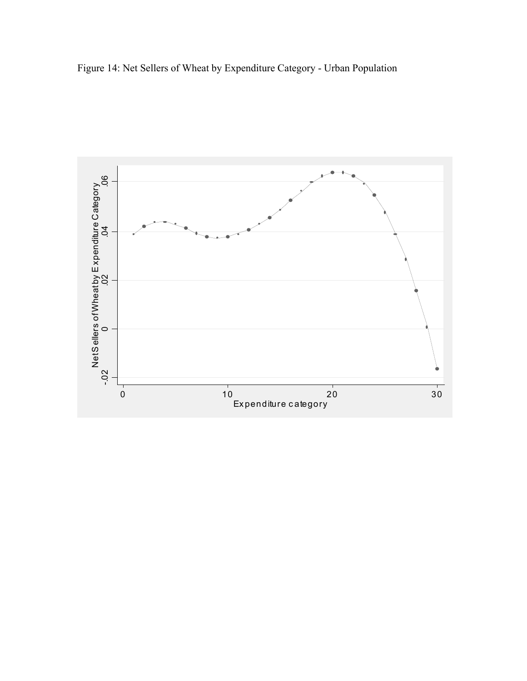

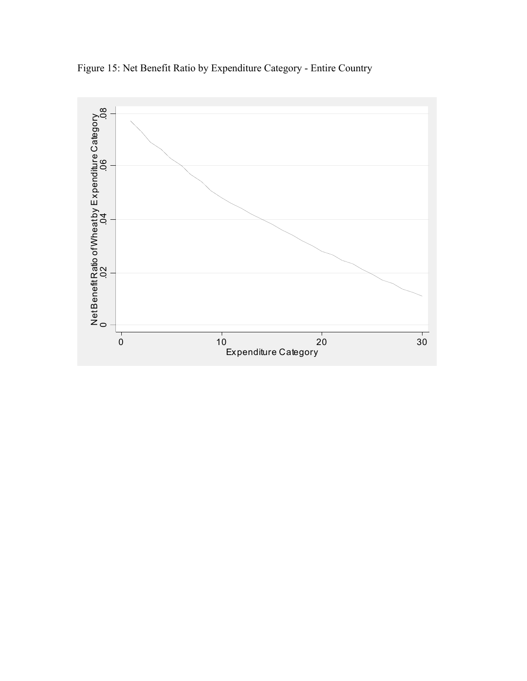

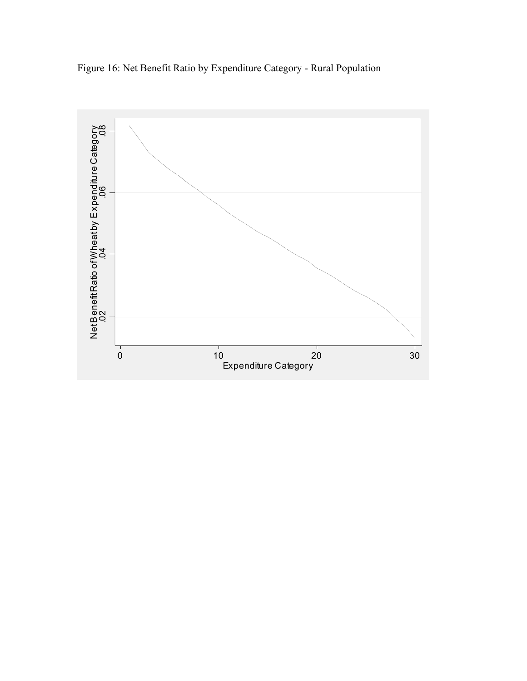

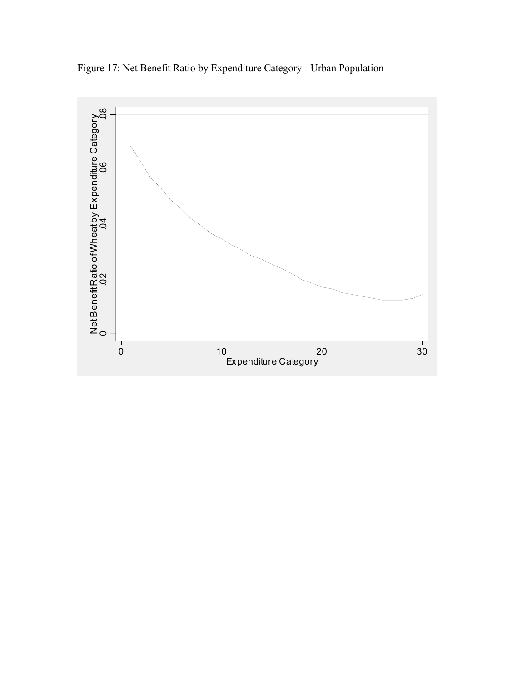

Figure 17: Net Benefit Ratio by Expenditure Category - Urban Population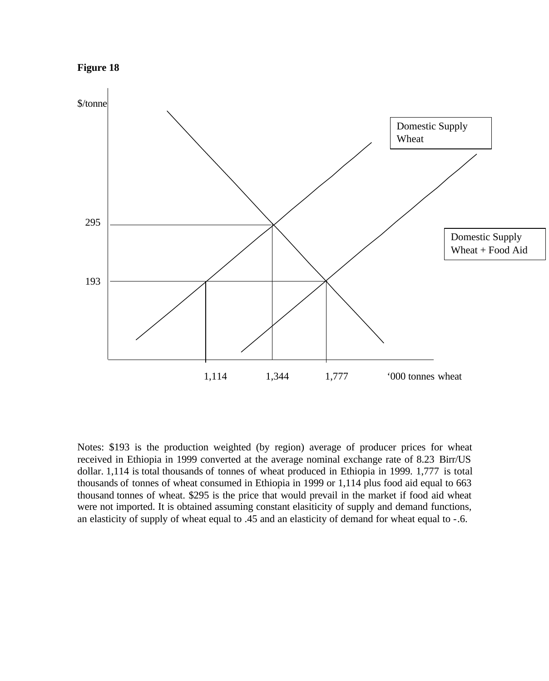



Notes: \$193 is the production weighted (by region) average of producer prices for wheat received in Ethiopia in 1999 converted at the average nominal exchange rate of 8.23 Birr/US dollar. 1,114 is total thousands of tonnes of wheat produced in Ethiopia in 1999. 1,777 is total thousands of tonnes of wheat consumed in Ethiopia in 1999 or 1,114 plus food aid equal to 663 thousand tonnes of wheat. \$295 is the price that would prevail in the market if food aid wheat were not imported. It is obtained assuming constant elasiticity of supply and demand functions, an elasticity of supply of wheat equal to .45 and an elasticity of demand for wheat equal to -.6.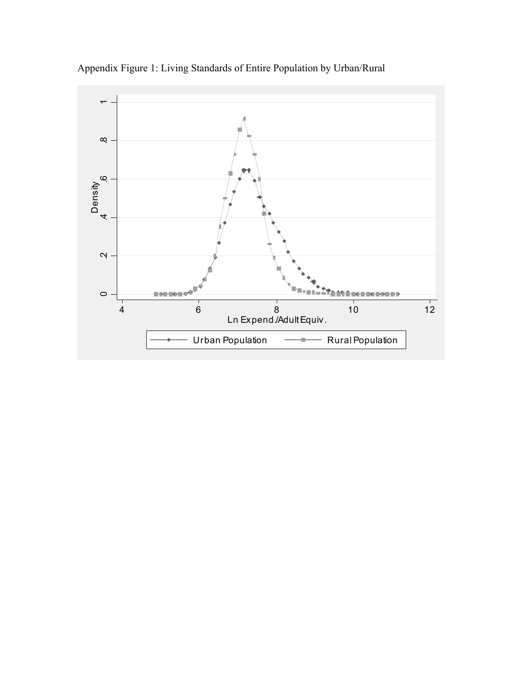

Appendix Figure 1: Living Standards of Entire Population by Urban/Rural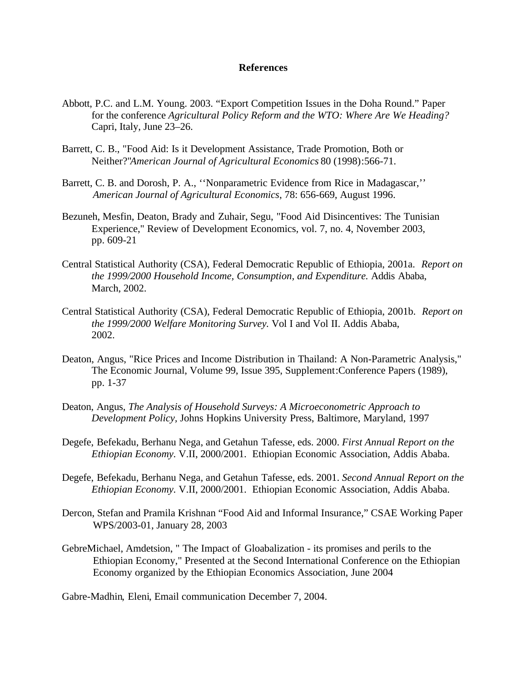#### **References**

- Abbott, P.C. and L.M. Young. 2003. "Export Competition Issues in the Doha Round." Paper for the conference *Agricultural Policy Reform and the WTO: Where Are We Heading?* Capri, Italy, June 23–26.
- Barrett, C. B., "Food Aid: Is it Development Assistance, Trade Promotion, Both or Neither?"*American Journal of Agricultural Economics* 80 (1998):566-71.
- Barrett, C. B. and Dorosh, P. A., ''Nonparametric Evidence from Rice in Madagascar,'' *American Journal of Agricultural Economics*, 78: 656-669, August 1996.
- Bezuneh, Mesfin, Deaton, Brady and Zuhair, Segu, "Food Aid Disincentives: The Tunisian Experience," Review of Development Economics, vol. 7, no. 4, November 2003, pp. 609-21
- Central Statistical Authority (CSA), Federal Democratic Republic of Ethiopia, 2001a. *Report on the 1999/2000 Household Income, Consumption, and Expenditure.* Addis Ababa, March, 2002.
- Central Statistical Authority (CSA), Federal Democratic Republic of Ethiopia, 2001b. *Report on the 1999/2000 Welfare Monitoring Survey.* Vol I and Vol II. Addis Ababa, 2002.
- Deaton, Angus, "Rice Prices and Income Distribution in Thailand: A Non-Parametric Analysis," The Economic Journal, Volume 99, Issue 395, Supplement:Conference Papers (1989), pp. 1-37
- Deaton, Angus, *The Analysis of Household Surveys: A Microeconometric Approach to Development Policy,* Johns Hopkins University Press, Baltimore, Maryland, 1997
- Degefe, Befekadu, Berhanu Nega, and Getahun Tafesse, eds. 2000. *First Annual Report on the Ethiopian Economy.* V.II, 2000/2001. Ethiopian Economic Association, Addis Ababa.
- Degefe, Befekadu, Berhanu Nega, and Getahun Tafesse, eds. 2001. *Second Annual Report on the Ethiopian Economy.* V.II, 2000/2001. Ethiopian Economic Association, Addis Ababa.
- Dercon, Stefan and Pramila Krishnan "Food Aid and Informal Insurance," CSAE Working Paper WPS/2003-01, January 28, 2003
- GebreMichael, Amdetsion, " The Impact of Gloabalization its promises and perils to the Ethiopian Economy," Presented at the Second International Conference on the Ethiopian Economy organized by the Ethiopian Economics Association, June 2004

Gabre-Madhin, Eleni, Email communication December 7, 2004.